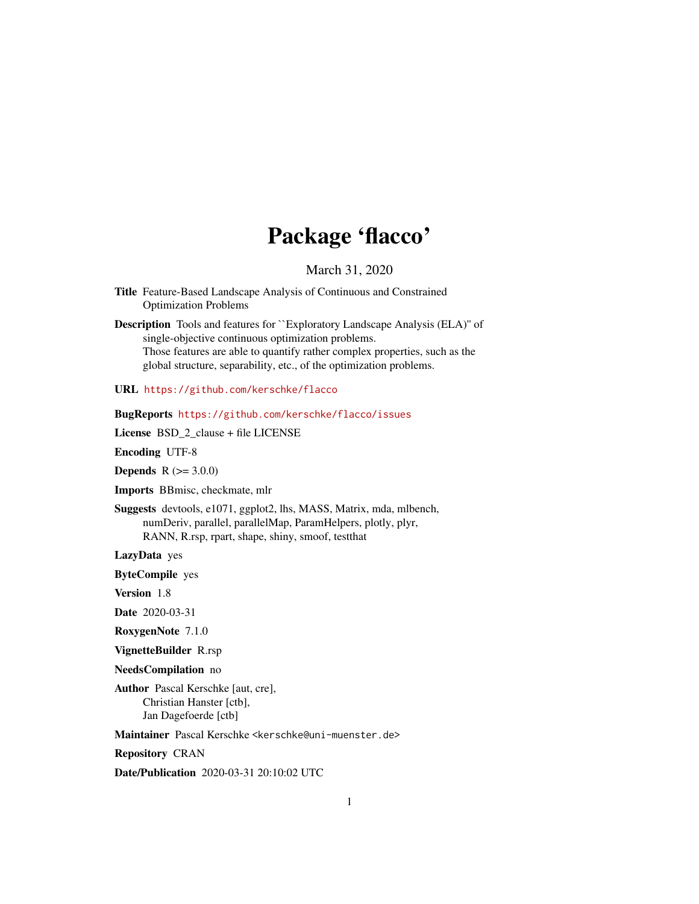# Package 'flacco'

March 31, 2020

- <span id="page-0-0"></span>Title Feature-Based Landscape Analysis of Continuous and Constrained Optimization Problems
- Description Tools and features for ``Exploratory Landscape Analysis (ELA)'' of single-objective continuous optimization problems. Those features are able to quantify rather complex properties, such as the global structure, separability, etc., of the optimization problems.

URL <https://github.com/kerschke/flacco>

# BugReports <https://github.com/kerschke/flacco/issues>

License BSD\_2\_clause + file LICENSE

Encoding UTF-8

**Depends**  $R (= 3.0.0)$ 

Imports BBmisc, checkmate, mlr

Suggests devtools, e1071, ggplot2, lhs, MASS, Matrix, mda, mlbench, numDeriv, parallel, parallelMap, ParamHelpers, plotly, plyr, RANN, R.rsp, rpart, shape, shiny, smoof, testthat

LazyData yes

ByteCompile yes

Version 1.8

Date 2020-03-31

RoxygenNote 7.1.0

VignetteBuilder R.rsp

NeedsCompilation no

Author Pascal Kerschke [aut, cre], Christian Hanster [ctb], Jan Dagefoerde [ctb]

Maintainer Pascal Kerschke <kerschke@uni-muenster.de>

Repository CRAN

Date/Publication 2020-03-31 20:10:02 UTC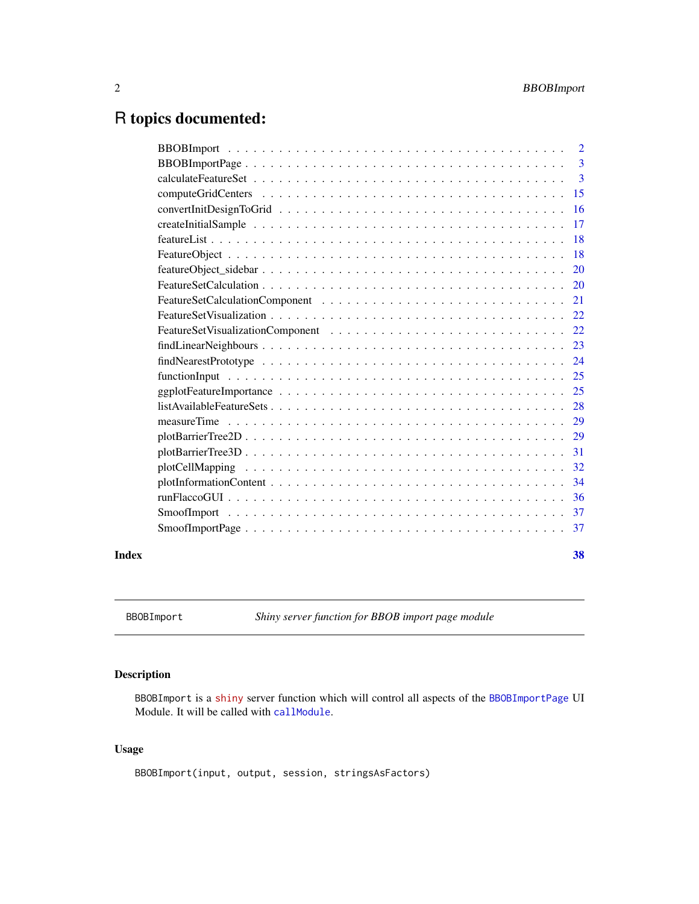# <span id="page-1-0"></span>R topics documented:

| $\overline{2}$ |
|----------------|
| 3              |
| $\mathbf{3}$   |
| 15             |
| 16             |
| 17             |
| 18             |
| 18             |
| 20             |
| <b>20</b>      |
| 21             |
| 22             |
| 22             |
| 23             |
| 24             |
| 25             |
| 25             |
| 28             |
| 29             |
| 29             |
| 31             |
| 32             |
| 34             |
| 36             |
| -37            |
| 37             |
|                |

#### **Index** [38](#page-37-0)

BBOBImport *Shiny server function for BBOB import page module*

# Description

BBOBImport is a [shiny](https://CRAN.R-project.org/package=shiny) server function which will control all aspects of the [BBOBImportPage](#page-2-1) UI Module. It will be called with [callModule](#page-0-0).

# Usage

BBOBImport(input, output, session, stringsAsFactors)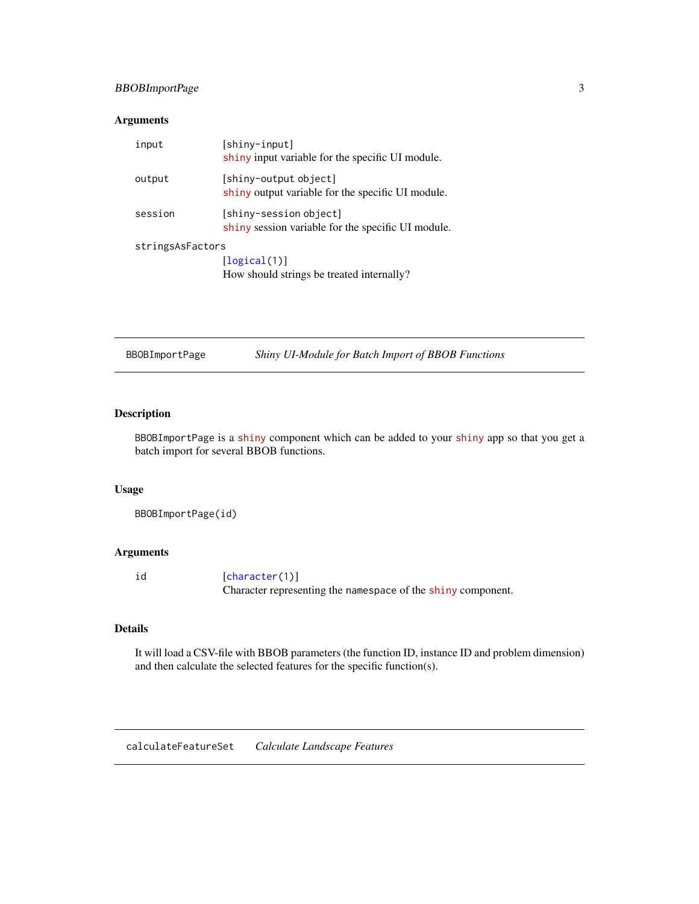# <span id="page-2-0"></span>BBOBImportPage 3

# Arguments

| input            | [shiny-input]<br>shiny input variable for the specific UI module.            |
|------------------|------------------------------------------------------------------------------|
| output           | [shiny-output object]<br>shiny output variable for the specific UI module.   |
| session          | [shiny-session object]<br>shiny session variable for the specific UI module. |
| stringsAsFactors |                                                                              |
|                  | [logical(1)]                                                                 |
|                  | How should strings be treated internally?                                    |

<span id="page-2-1"></span>BBOBImportPage *Shiny UI-Module for Batch Import of BBOB Functions*

# Description

BBOBImportPage is a [shiny](https://CRAN.R-project.org/package=shiny) component which can be added to your [shiny](https://CRAN.R-project.org/package=shiny) app so that you get a batch import for several BBOB functions.

# Usage

BBOBImportPage(id)

# Arguments

| id | [character(1)]                                               |
|----|--------------------------------------------------------------|
|    | Character representing the namespace of the shiny component. |

# Details

It will load a CSV-file with BBOB parameters (the function ID, instance ID and problem dimension) and then calculate the selected features for the specific function(s).

calculateFeatureSet *Calculate Landscape Features*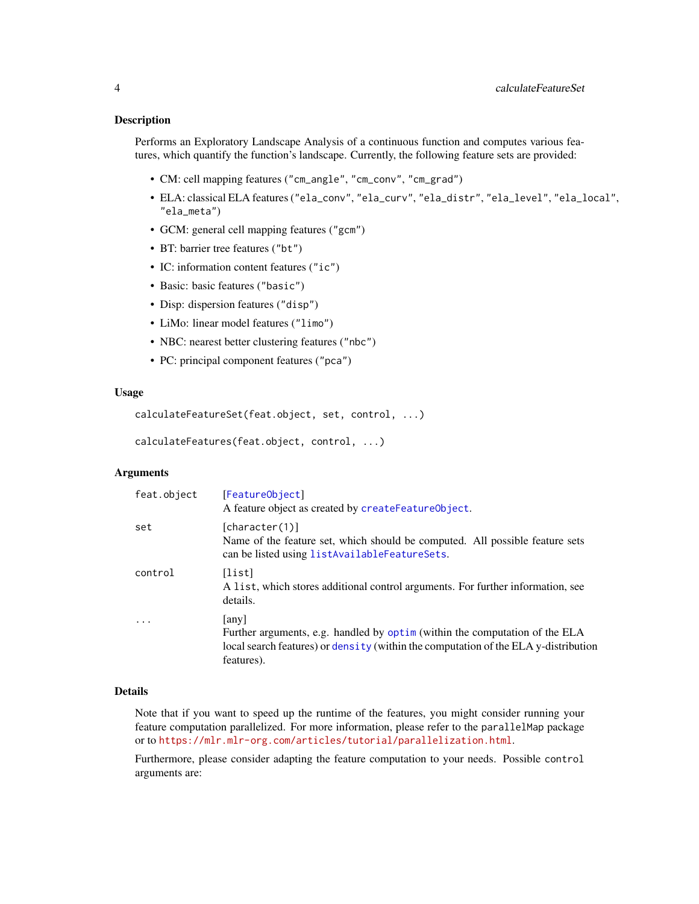#### <span id="page-3-0"></span>**Description**

Performs an Exploratory Landscape Analysis of a continuous function and computes various features, which quantify the function's landscape. Currently, the following feature sets are provided:

- CM: cell mapping features ("cm\_angle", "cm\_conv", "cm\_grad")
- ELA: classical ELA features ("ela\_conv", "ela\_curv", "ela\_distr", "ela\_level", "ela\_local", "ela\_meta")
- GCM: general cell mapping features ("gcm")
- BT: barrier tree features ("bt")
- IC: information content features ("ic")
- Basic: basic features ("basic")
- Disp: dispersion features ("disp")
- LiMo: linear model features ("limo")
- NBC: nearest better clustering features ("nbc")
- PC: principal component features ("pca")

#### Usage

```
calculateFeatureSet(feat.object, set, control, ...)
```

```
calculateFeatures(feat.object, control, ...)
```
# Arguments

| feat.object | [FeatureObject]<br>A feature object as created by createFeatureObject.                                                                                                                    |
|-------------|-------------------------------------------------------------------------------------------------------------------------------------------------------------------------------------------|
| set         | [character(1)]<br>Name of the feature set, which should be computed. All possible feature sets<br>can be listed using listAvailableFeatureSets.                                           |
| control     | [list]<br>A list, which stores additional control arguments. For further information, see<br>details.                                                                                     |
| $\cdot$     | any  <br>Further arguments, e.g. handled by optim (within the computation of the ELA<br>local search features) or density (within the computation of the ELA y-distribution<br>features). |

#### Details

Note that if you want to speed up the runtime of the features, you might consider running your feature computation parallelized. For more information, please refer to the parallelMap package or to <https://mlr.mlr-org.com/articles/tutorial/parallelization.html>.

Furthermore, please consider adapting the feature computation to your needs. Possible control arguments are: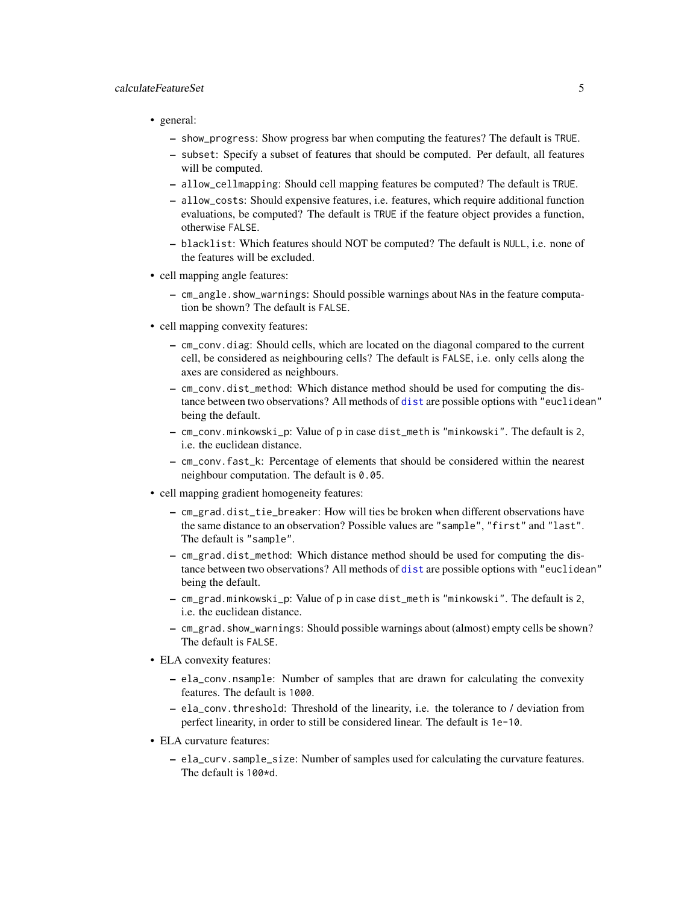# <span id="page-4-0"></span>calculateFeatureSet 5

- general:
	- show\_progress: Show progress bar when computing the features? The default is TRUE.
	- subset: Specify a subset of features that should be computed. Per default, all features will be computed.
	- allow\_cellmapping: Should cell mapping features be computed? The default is TRUE.
	- allow\_costs: Should expensive features, i.e. features, which require additional function evaluations, be computed? The default is TRUE if the feature object provides a function, otherwise FALSE.
	- blacklist: Which features should NOT be computed? The default is NULL, i.e. none of the features will be excluded.
- cell mapping angle features:
	- cm\_angle.show\_warnings: Should possible warnings about NAs in the feature computation be shown? The default is FALSE.
- cell mapping convexity features:
	- cm\_conv.diag: Should cells, which are located on the diagonal compared to the current cell, be considered as neighbouring cells? The default is FALSE, i.e. only cells along the axes are considered as neighbours.
	- cm\_conv.dist\_method: Which distance method should be used for computing the distance between two observations? All methods of [dist](#page-0-0) are possible options with "euclidean" being the default.
	- cm\_conv.minkowski\_p: Value of p in case dist\_meth is "minkowski". The default is 2, i.e. the euclidean distance.
	- cm\_conv.fast\_k: Percentage of elements that should be considered within the nearest neighbour computation. The default is 0.05.
- cell mapping gradient homogeneity features:
	- cm\_grad.dist\_tie\_breaker: How will ties be broken when different observations have the same distance to an observation? Possible values are "sample", "first" and "last". The default is "sample".
	- cm\_grad.dist\_method: Which distance method should be used for computing the distance between two observations? All methods of [dist](#page-0-0) are possible options with "euclidean" being the default.
	- cm\_grad.minkowski\_p: Value of p in case dist\_meth is "minkowski". The default is 2, i.e. the euclidean distance.
	- cm\_grad.show\_warnings: Should possible warnings about (almost) empty cells be shown? The default is FALSE.
- ELA convexity features:
	- ela\_conv.nsample: Number of samples that are drawn for calculating the convexity features. The default is 1000.
	- ela\_conv.threshold: Threshold of the linearity, i.e. the tolerance to / deviation from perfect linearity, in order to still be considered linear. The default is 1e-10.
- ELA curvature features:
	- ela\_curv.sample\_size: Number of samples used for calculating the curvature features. The default is 100\*d.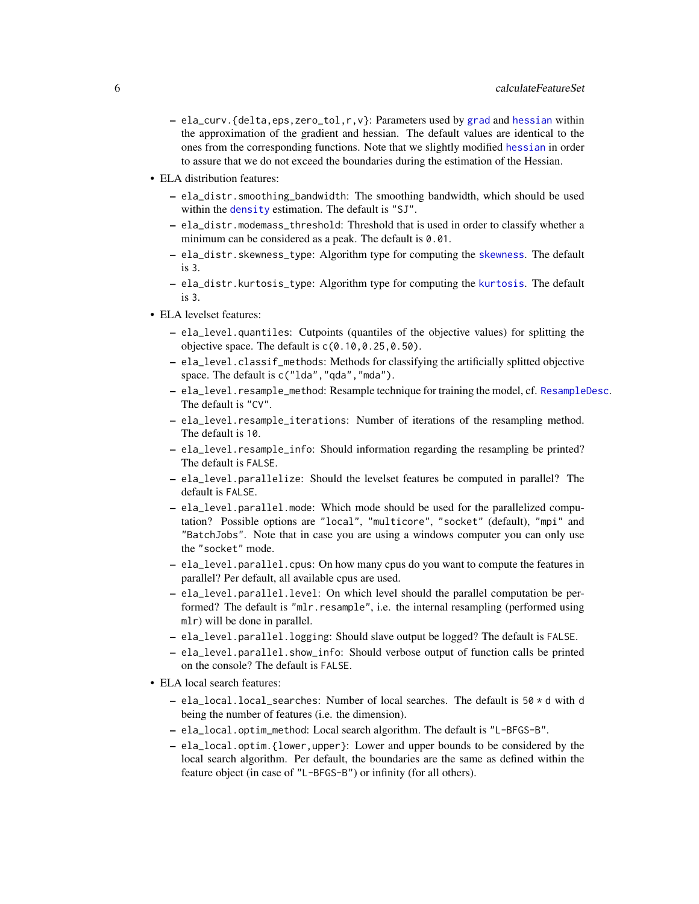- <span id="page-5-0"></span>– ela\_curv.{delta,eps,zero\_tol,r,v}: Parameters used by [grad](#page-0-0) and [hessian](#page-0-0) within the approximation of the gradient and hessian. The default values are identical to the ones from the corresponding functions. Note that we slightly modified [hessian](#page-0-0) in order to assure that we do not exceed the boundaries during the estimation of the Hessian.
- ELA distribution features:
	- ela\_distr.smoothing\_bandwidth: The smoothing bandwidth, which should be used within the [density](#page-0-0) estimation. The default is "SJ".
	- ela\_distr.modemass\_threshold: Threshold that is used in order to classify whether a minimum can be considered as a peak. The default is  $0.01$ .
	- ela\_distr.skewness\_type: Algorithm type for computing the [skewness](#page-0-0). The default is 3.
	- ela\_distr.kurtosis\_type: Algorithm type for computing the [kurtosis](#page-0-0). The default is 3.
- ELA levelset features:
	- ela\_level.quantiles: Cutpoints (quantiles of the objective values) for splitting the objective space. The default is  $c(0.10, 0.25, 0.50)$ .
	- ela\_level.classif\_methods: Methods for classifying the artificially splitted objective space. The default is c("lda", "qda", "mda").
	- ela\_level.resample\_method: Resample technique for training the model, cf. [ResampleDesc](#page-0-0). The default is "CV".
	- ela\_level.resample\_iterations: Number of iterations of the resampling method. The default is 10.
	- ela\_level.resample\_info: Should information regarding the resampling be printed? The default is FALSE.
	- ela\_level.parallelize: Should the levelset features be computed in parallel? The default is FALSE.
	- ela\_level.parallel.mode: Which mode should be used for the parallelized computation? Possible options are "local", "multicore", "socket" (default), "mpi" and "BatchJobs". Note that in case you are using a windows computer you can only use the "socket" mode.
	- ela\_level.parallel.cpus: On how many cpus do you want to compute the features in parallel? Per default, all available cpus are used.
	- ela\_level.parallel.level: On which level should the parallel computation be performed? The default is "mlr.resample", i.e. the internal resampling (performed using mlr) will be done in parallel.
	- ela\_level.parallel.logging: Should slave output be logged? The default is FALSE.
	- ela\_level.parallel.show\_info: Should verbose output of function calls be printed on the console? The default is FALSE.
- ELA local search features:
	- $-$  ela\_local.local\_searches: Number of local searches. The default is  $50 \times d$  with d being the number of features (i.e. the dimension).
	- ela\_local.optim\_method: Local search algorithm. The default is "L-BFGS-B".
	- ela\_local.optim.{lower,upper}: Lower and upper bounds to be considered by the local search algorithm. Per default, the boundaries are the same as defined within the feature object (in case of "L-BFGS-B") or infinity (for all others).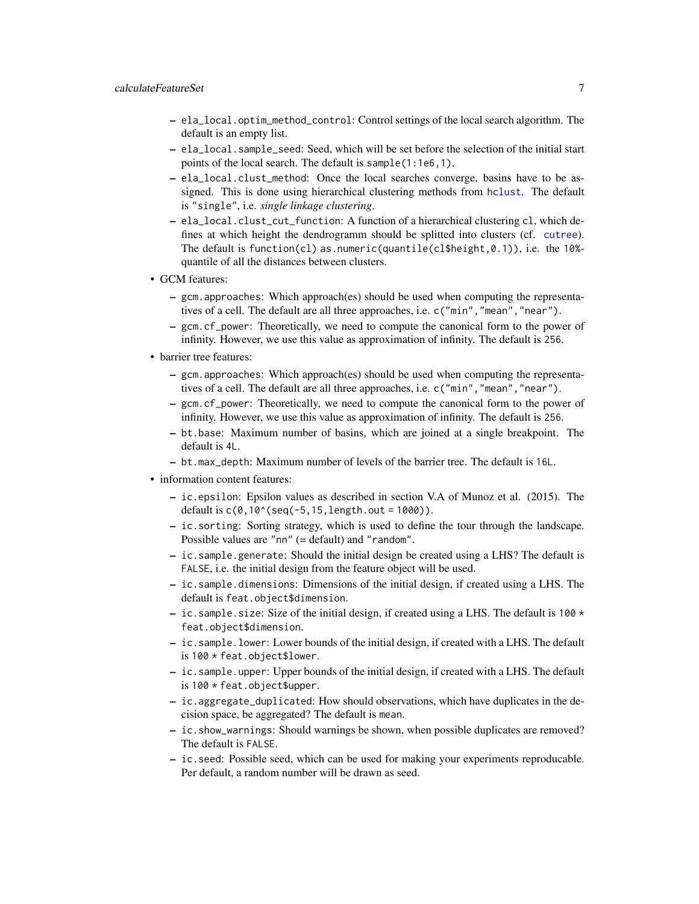- <span id="page-6-0"></span>– ela\_local.optim\_method\_control: Control settings of the local search algorithm. The default is an empty list.
- ela\_local.sample\_seed: Seed, which will be set before the selection of the initial start points of the local search. The default is sample(1:1e6,1).
- ela\_local.clust\_method: Once the local searches converge, basins have to be assigned. This is done using hierarchical clustering methods from [hclust](#page-0-0). The default is "single", i.e. *single linkage clustering*.
- ela\_local.clust\_cut\_function: A function of a hierarchical clustering cl, which defines at which height the dendrogramm should be splitted into clusters (cf. [cutree](#page-0-0)). The default is function(cl) as.numeric(quantile(cl\$height,0.1)), i.e. the 10%quantile of all the distances between clusters.
- GCM features:
	- gcm.approaches: Which approach(es) should be used when computing the representatives of a cell. The default are all three approaches, i.e. c("min", "mean", "near").
	- gcm.cf\_power: Theoretically, we need to compute the canonical form to the power of infinity. However, we use this value as approximation of infinity. The default is 256.
- barrier tree features:
	- gcm.approaches: Which approach(es) should be used when computing the representatives of a cell. The default are all three approaches, i.e. c("min","mean","near").
	- gcm.cf\_power: Theoretically, we need to compute the canonical form to the power of infinity. However, we use this value as approximation of infinity. The default is 256.
	- bt.base: Maximum number of basins, which are joined at a single breakpoint. The default is 4L.
	- bt.max\_depth: Maximum number of levels of the barrier tree. The default is 16L.
- information content features:
	- ic.epsilon: Epsilon values as described in section V.A of Munoz et al. (2015). The default is  $c(0,10^{\circ}(\text{seq}(-5,15,\text{length}.\text{out} = 1000)).$
	- ic.sorting: Sorting strategy, which is used to define the tour through the landscape. Possible values are "nn" (= default) and "random".
	- ic.sample.generate: Should the initial design be created using a LHS? The default is FALSE, i.e. the initial design from the feature object will be used.
	- ic.sample.dimensions: Dimensions of the initial design, if created using a LHS. The default is feat.object\$dimension.
	- ic. sample. size: Size of the initial design, if created using a LHS. The default is 100  $\star$ feat.object\$dimension.
	- ic.sample.lower: Lower bounds of the initial design, if created with a LHS. The default is 100 \* feat.object\$lower.
	- ic.sample.upper: Upper bounds of the initial design, if created with a LHS. The default is 100 \* feat.object\$upper.
	- ic.aggregate\_duplicated: How should observations, which have duplicates in the decision space, be aggregated? The default is mean.
	- ic.show\_warnings: Should warnings be shown, when possible duplicates are removed? The default is FALSE.
	- ic.seed: Possible seed, which can be used for making your experiments reproducable. Per default, a random number will be drawn as seed.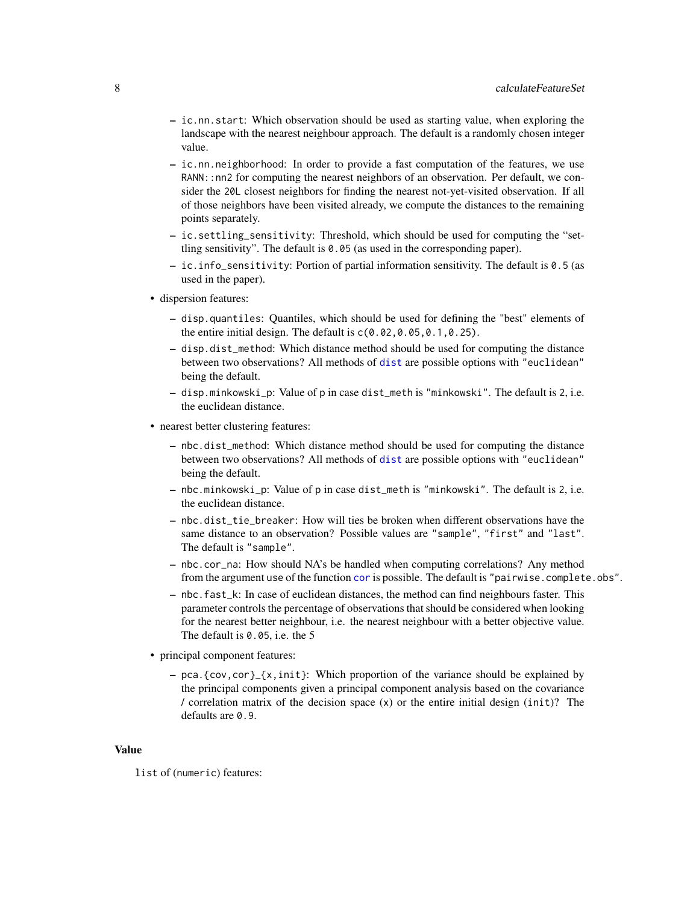- <span id="page-7-0"></span>– ic.nn.start: Which observation should be used as starting value, when exploring the landscape with the nearest neighbour approach. The default is a randomly chosen integer value.
- ic.nn.neighborhood: In order to provide a fast computation of the features, we use RANN::nn2 for computing the nearest neighbors of an observation. Per default, we consider the 20L closest neighbors for finding the nearest not-yet-visited observation. If all of those neighbors have been visited already, we compute the distances to the remaining points separately.
- ic.settling\_sensitivity: Threshold, which should be used for computing the "settling sensitivity". The default is 0.05 (as used in the corresponding paper).
- ic.info\_sensitivity: Portion of partial information sensitivity. The default is 0.5 (as used in the paper).
- dispersion features:
	- disp.quantiles: Quantiles, which should be used for defining the "best" elements of the entire initial design. The default is  $c(0.02, 0.05, 0.1, 0.25)$ .
	- disp.dist\_method: Which distance method should be used for computing the distance between two observations? All methods of [dist](#page-0-0) are possible options with "euclidean" being the default.
	- disp.minkowski\_p: Value of p in case dist\_meth is "minkowski". The default is 2, i.e. the euclidean distance.
- nearest better clustering features:
	- nbc.dist\_method: Which distance method should be used for computing the distance between two observations? All methods of [dist](#page-0-0) are possible options with "euclidean" being the default.
	- nbc.minkowski\_p: Value of p in case dist\_meth is "minkowski". The default is 2, i.e. the euclidean distance.
	- nbc.dist\_tie\_breaker: How will ties be broken when different observations have the same distance to an observation? Possible values are "sample", "first" and "last". The default is "sample".
	- nbc.cor\_na: How should NA's be handled when computing correlations? Any method from the argument use of the function [cor](#page-0-0) is possible. The default is "pairwise.complete.obs".
	- nbc.fast\_k: In case of euclidean distances, the method can find neighbours faster. This parameter controls the percentage of observations that should be considered when looking for the nearest better neighbour, i.e. the nearest neighbour with a better objective value. The default is 0.05, i.e. the 5
- principal component features:
	- pca. {cov, cor}<sub>-</sub>{x, init}: Which proportion of the variance should be explained by the principal components given a principal component analysis based on the covariance / correlation matrix of the decision space  $(x)$  or the entire initial design (init)? The defaults are  $0.9$ .

#### Value

list of (numeric) features: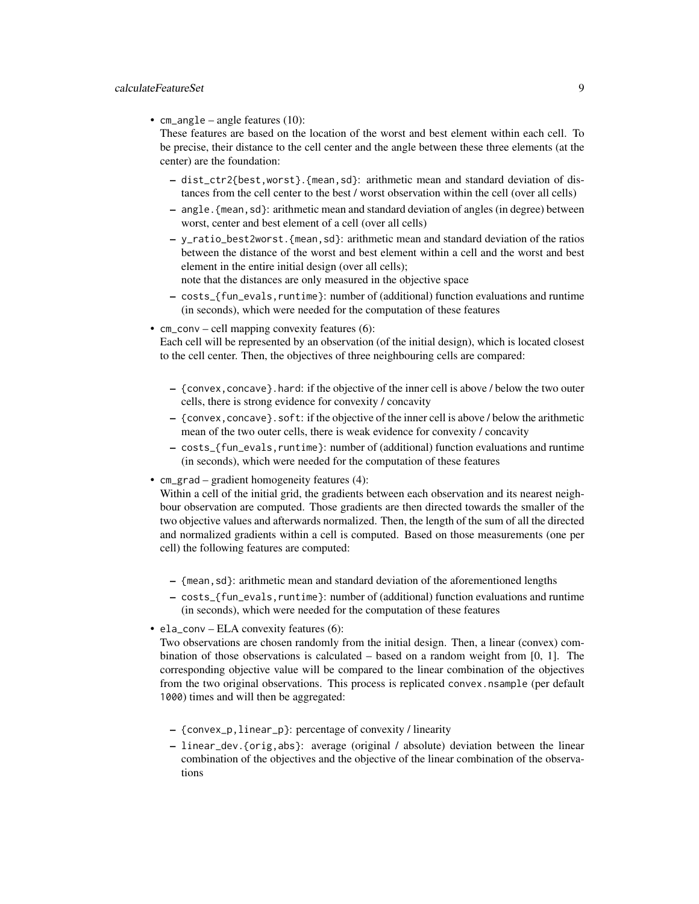#### calculateFeatureSet 9

• cm\_angle – angle features (10):

These features are based on the location of the worst and best element within each cell. To be precise, their distance to the cell center and the angle between these three elements (at the center) are the foundation:

- dist\_ctr2{best,worst}.{mean,sd}: arithmetic mean and standard deviation of distances from the cell center to the best / worst observation within the cell (over all cells)
- angle.{mean,sd}: arithmetic mean and standard deviation of angles (in degree) between worst, center and best element of a cell (over all cells)
- y\_ratio\_best2worst.{mean,sd}: arithmetic mean and standard deviation of the ratios between the distance of the worst and best element within a cell and the worst and best element in the entire initial design (over all cells); note that the distances are only measured in the objective space
- costs\_{fun\_evals,runtime}: number of (additional) function evaluations and runtime (in seconds), which were needed for the computation of these features
- $cm_{\text{conv}}$  cell mapping convexity features (6):

Each cell will be represented by an observation (of the initial design), which is located closest to the cell center. Then, the objectives of three neighbouring cells are compared:

- {convex,concave}.hard: if the objective of the inner cell is above / below the two outer cells, there is strong evidence for convexity / concavity
- $-$  {convex, concave}. soft: if the objective of the inner cell is above / below the arithmetic mean of the two outer cells, there is weak evidence for convexity / concavity
- costs\_{fun\_evals,runtime}: number of (additional) function evaluations and runtime (in seconds), which were needed for the computation of these features
- cm\_grad gradient homogeneity features (4):

Within a cell of the initial grid, the gradients between each observation and its nearest neighbour observation are computed. Those gradients are then directed towards the smaller of the two objective values and afterwards normalized. Then, the length of the sum of all the directed and normalized gradients within a cell is computed. Based on those measurements (one per cell) the following features are computed:

- {mean,sd}: arithmetic mean and standard deviation of the aforementioned lengths
- costs\_{fun\_evals,runtime}: number of (additional) function evaluations and runtime (in seconds), which were needed for the computation of these features
- ela\_conv ELA convexity features (6):

Two observations are chosen randomly from the initial design. Then, a linear (convex) combination of those observations is calculated  $-$  based on a random weight from [0, 1]. The corresponding objective value will be compared to the linear combination of the objectives from the two original observations. This process is replicated convex.nsample (per default 1000) times and will then be aggregated:

- {convex\_p,linear\_p}: percentage of convexity / linearity
- linear\_dev.{orig,abs}: average (original / absolute) deviation between the linear combination of the objectives and the objective of the linear combination of the observations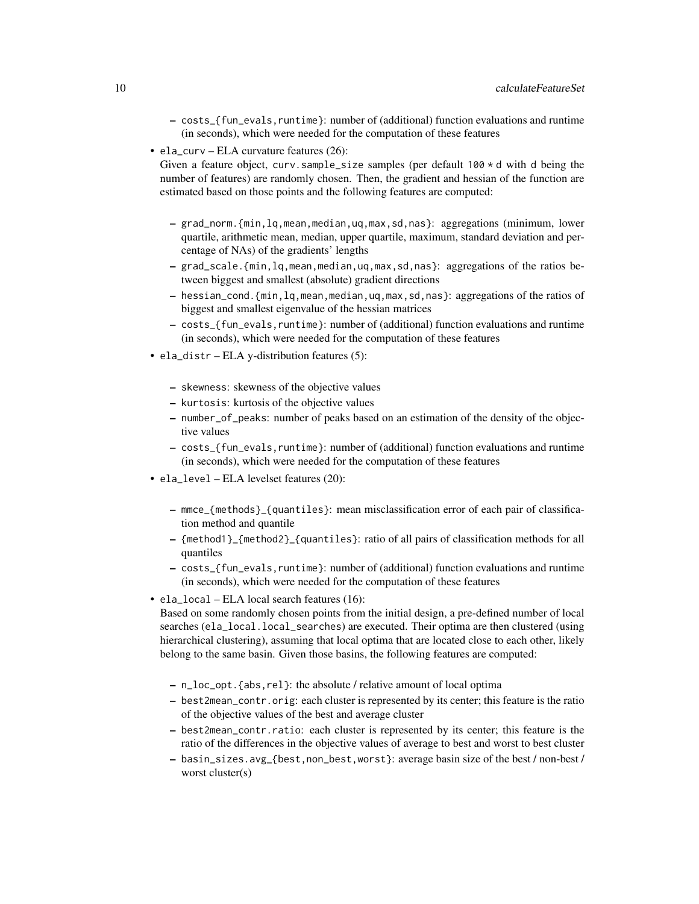- costs\_{fun\_evals,runtime}: number of (additional) function evaluations and runtime (in seconds), which were needed for the computation of these features
- ela\_curv ELA curvature features (26):

Given a feature object, curv.sample\_size samples (per default  $100 \times d$  with d being the number of features) are randomly chosen. Then, the gradient and hessian of the function are estimated based on those points and the following features are computed:

- grad\_norm.{min,lq,mean,median,uq,max,sd,nas}: aggregations (minimum, lower quartile, arithmetic mean, median, upper quartile, maximum, standard deviation and percentage of NAs) of the gradients' lengths
- grad\_scale.{min,lq,mean,median,uq,max,sd,nas}: aggregations of the ratios between biggest and smallest (absolute) gradient directions
- hessian\_cond.{min,lq,mean,median,uq,max,sd,nas}: aggregations of the ratios of biggest and smallest eigenvalue of the hessian matrices
- costs\_{fun\_evals,runtime}: number of (additional) function evaluations and runtime (in seconds), which were needed for the computation of these features
- ela\_distr ELA y-distribution features (5):
	- skewness: skewness of the objective values
	- kurtosis: kurtosis of the objective values
	- number\_of\_peaks: number of peaks based on an estimation of the density of the objective values
	- costs\_{fun\_evals,runtime}: number of (additional) function evaluations and runtime (in seconds), which were needed for the computation of these features
- ela\_level ELA levelset features (20):
	- mmce\_{methods}\_{quantiles}: mean misclassification error of each pair of classification method and quantile
	- {method1}\_{method2}\_{quantiles}: ratio of all pairs of classification methods for all quantiles
	- costs\_{fun\_evals,runtime}: number of (additional) function evaluations and runtime (in seconds), which were needed for the computation of these features
- ela\_local ELA local search features (16):

Based on some randomly chosen points from the initial design, a pre-defined number of local searches (ela\_local.local\_searches) are executed. Their optima are then clustered (using hierarchical clustering), assuming that local optima that are located close to each other, likely belong to the same basin. Given those basins, the following features are computed:

- n\_loc\_opt.{abs,rel}: the absolute / relative amount of local optima
- best2mean\_contr.orig: each cluster is represented by its center; this feature is the ratio of the objective values of the best and average cluster
- best2mean\_contr.ratio: each cluster is represented by its center; this feature is the ratio of the differences in the objective values of average to best and worst to best cluster
- basin\_sizes.avg\_{best,non\_best,worst}: average basin size of the best / non-best / worst cluster(s)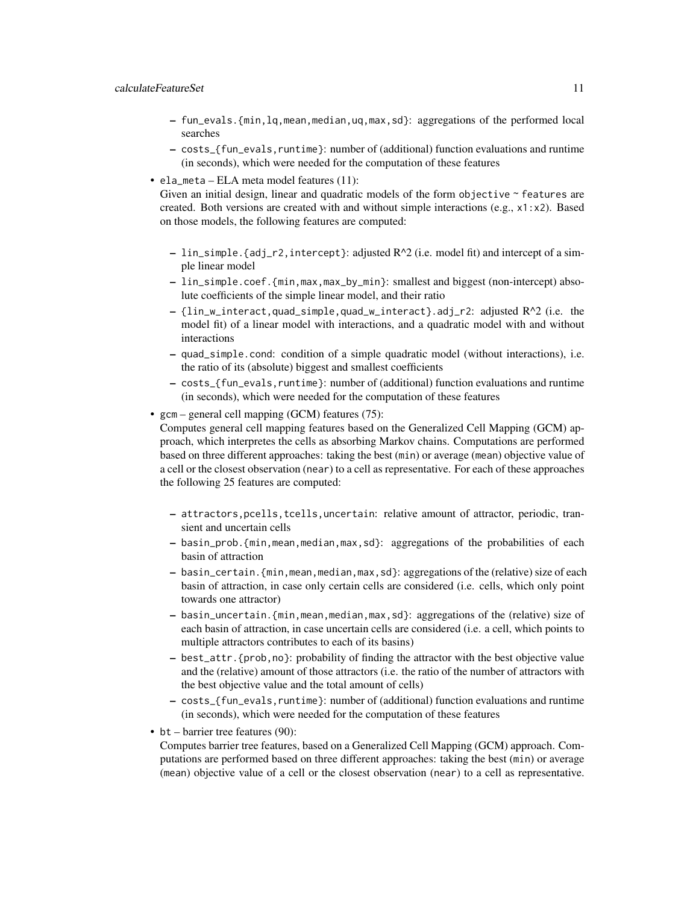- fun\_evals.{min,lq,mean,median,uq,max,sd}: aggregations of the performed local searches
- costs\_{fun\_evals,runtime}: number of (additional) function evaluations and runtime (in seconds), which were needed for the computation of these features
- ela\_meta ELA meta model features (11):

Given an initial design, linear and quadratic models of the form objective ~ features are created. Both versions are created with and without simple interactions (e.g.,  $x1:x2$ ). Based on those models, the following features are computed:

- $-$  lin\_simple.{adj\_r2,intercept}: adjusted  $R^2/$  (i.e. model fit) and intercept of a simple linear model
- lin\_simple.coef.{min,max,max\_by\_min}: smallest and biggest (non-intercept) absolute coefficients of the simple linear model, and their ratio
- {lin\_w\_interact,quad\_simple,quad\_w\_interact}.adj\_r2: adjusted R^2 (i.e. the model fit) of a linear model with interactions, and a quadratic model with and without interactions
- quad\_simple.cond: condition of a simple quadratic model (without interactions), i.e. the ratio of its (absolute) biggest and smallest coefficients
- costs\_{fun\_evals,runtime}: number of (additional) function evaluations and runtime (in seconds), which were needed for the computation of these features
- gcm general cell mapping (GCM) features (75):

Computes general cell mapping features based on the Generalized Cell Mapping (GCM) approach, which interpretes the cells as absorbing Markov chains. Computations are performed based on three different approaches: taking the best (min) or average (mean) objective value of a cell or the closest observation (near) to a cell as representative. For each of these approaches the following 25 features are computed:

- attractors,pcells,tcells,uncertain: relative amount of attractor, periodic, transient and uncertain cells
- basin\_prob.{min,mean,median,max,sd}: aggregations of the probabilities of each basin of attraction
- basin\_certain.{min,mean,median,max,sd}: aggregations of the (relative) size of each basin of attraction, in case only certain cells are considered (i.e. cells, which only point towards one attractor)
- basin\_uncertain.{min,mean,median,max,sd}: aggregations of the (relative) size of each basin of attraction, in case uncertain cells are considered (i.e. a cell, which points to multiple attractors contributes to each of its basins)
- best\_attr.{prob,no}: probability of finding the attractor with the best objective value and the (relative) amount of those attractors (i.e. the ratio of the number of attractors with the best objective value and the total amount of cells)
- costs\_{fun\_evals,runtime}: number of (additional) function evaluations and runtime (in seconds), which were needed for the computation of these features
- bt barrier tree features (90):
- Computes barrier tree features, based on a Generalized Cell Mapping (GCM) approach. Computations are performed based on three different approaches: taking the best (min) or average (mean) objective value of a cell or the closest observation (near) to a cell as representative.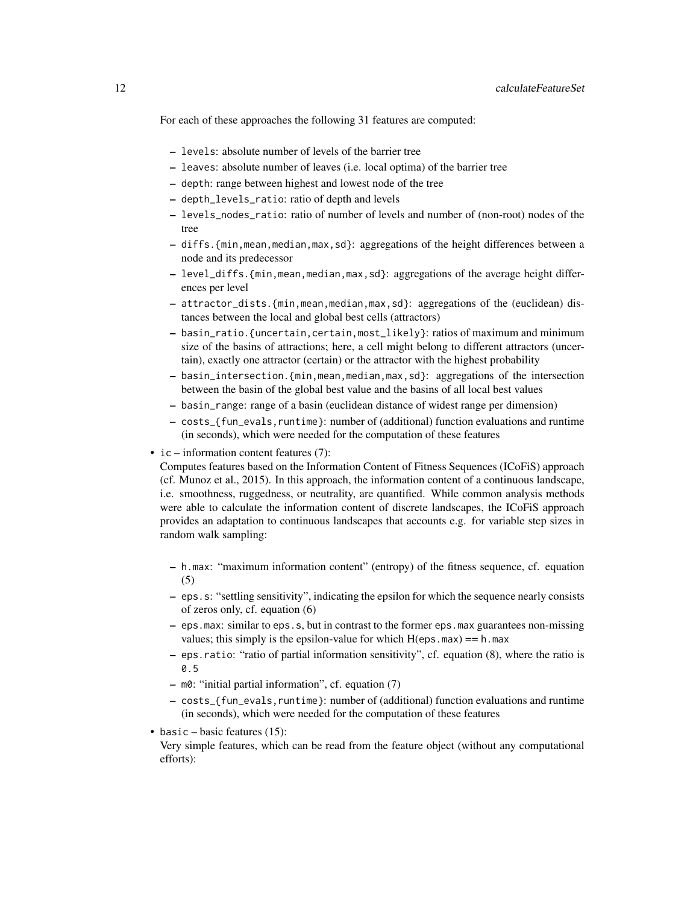For each of these approaches the following 31 features are computed:

- levels: absolute number of levels of the barrier tree
- leaves: absolute number of leaves (i.e. local optima) of the barrier tree
- depth: range between highest and lowest node of the tree
- depth\_levels\_ratio: ratio of depth and levels
- levels\_nodes\_ratio: ratio of number of levels and number of (non-root) nodes of the tree
- diffs.{min,mean,median,max,sd}: aggregations of the height differences between a node and its predecessor
- level\_diffs.{min,mean,median,max,sd}: aggregations of the average height differences per level
- attractor\_dists.{min,mean,median,max,sd}: aggregations of the (euclidean) distances between the local and global best cells (attractors)
- basin\_ratio.{uncertain,certain,most\_likely}: ratios of maximum and minimum size of the basins of attractions; here, a cell might belong to different attractors (uncertain), exactly one attractor (certain) or the attractor with the highest probability
- basin\_intersection.{min,mean,median,max,sd}: aggregations of the intersection between the basin of the global best value and the basins of all local best values
- basin\_range: range of a basin (euclidean distance of widest range per dimension)
- costs\_{fun\_evals,runtime}: number of (additional) function evaluations and runtime (in seconds), which were needed for the computation of these features
- ic information content features (7):

Computes features based on the Information Content of Fitness Sequences (ICoFiS) approach (cf. Munoz et al., 2015). In this approach, the information content of a continuous landscape, i.e. smoothness, ruggedness, or neutrality, are quantified. While common analysis methods were able to calculate the information content of discrete landscapes, the ICoFiS approach provides an adaptation to continuous landscapes that accounts e.g. for variable step sizes in random walk sampling:

- h.max: "maximum information content" (entropy) of the fitness sequence, cf. equation (5)
- eps.s: "settling sensitivity", indicating the epsilon for which the sequence nearly consists of zeros only, cf. equation (6)
- eps.max: similar to eps.s, but in contrast to the former eps.max guarantees non-missing values; this simply is the epsilon-value for which  $H(eps.max) == h.max$
- eps.ratio: "ratio of partial information sensitivity", cf. equation (8), where the ratio is 0.5
- m0: "initial partial information", cf. equation (7)
- costs\_{fun\_evals,runtime}: number of (additional) function evaluations and runtime (in seconds), which were needed for the computation of these features
- basic basic features  $(15)$ :

Very simple features, which can be read from the feature object (without any computational efforts):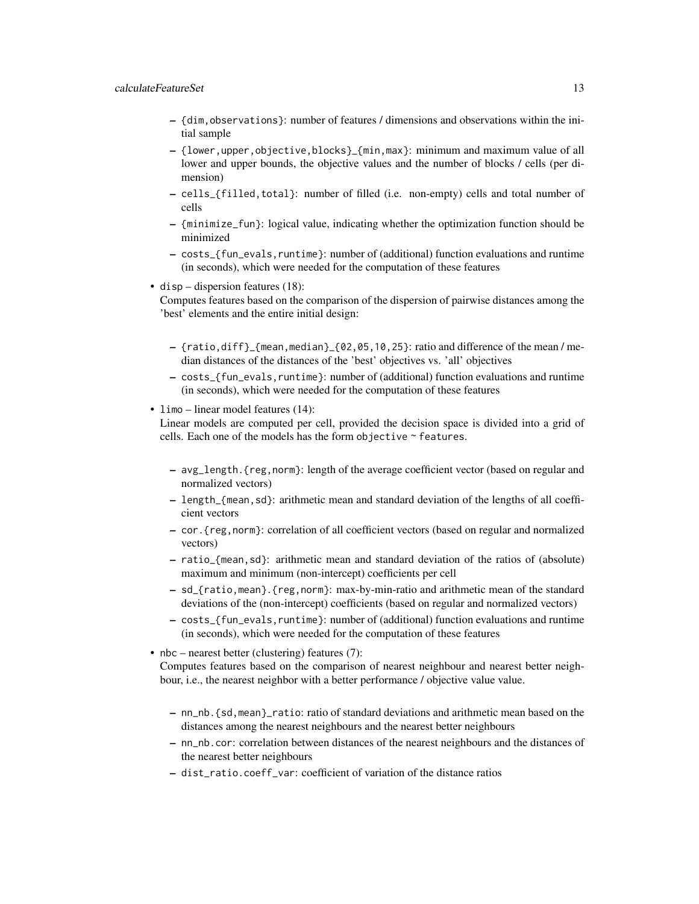#### calculateFeatureSet 13

- {dim,observations}: number of features / dimensions and observations within the initial sample
- {lower,upper,objective,blocks}\_{min,max}: minimum and maximum value of all lower and upper bounds, the objective values and the number of blocks / cells (per dimension)
- cells\_{filled,total}: number of filled (i.e. non-empty) cells and total number of cells
- {minimize\_fun}: logical value, indicating whether the optimization function should be minimized
- costs\_{fun\_evals,runtime}: number of (additional) function evaluations and runtime (in seconds), which were needed for the computation of these features
- disp dispersion features (18):

Computes features based on the comparison of the dispersion of pairwise distances among the 'best' elements and the entire initial design:

- $-$  {ratio,diff}\_{mean,median}\_{02,05,10,25}: ratio and difference of the mean/median distances of the distances of the 'best' objectives vs. 'all' objectives
- costs\_{fun\_evals,runtime}: number of (additional) function evaluations and runtime (in seconds), which were needed for the computation of these features
- limo linear model features (14):

Linear models are computed per cell, provided the decision space is divided into a grid of cells. Each one of the models has the form objective ~ features.

- avg\_length.{reg,norm}: length of the average coefficient vector (based on regular and normalized vectors)
- length\_{mean,sd}: arithmetic mean and standard deviation of the lengths of all coefficient vectors
- cor.{reg,norm}: correlation of all coefficient vectors (based on regular and normalized vectors)
- ratio\_{mean,sd}: arithmetic mean and standard deviation of the ratios of (absolute) maximum and minimum (non-intercept) coefficients per cell
- sd\_{ratio,mean}.{reg,norm}: max-by-min-ratio and arithmetic mean of the standard deviations of the (non-intercept) coefficients (based on regular and normalized vectors)
- costs\_{fun\_evals,runtime}: number of (additional) function evaluations and runtime (in seconds), which were needed for the computation of these features
- nbc nearest better (clustering) features (7): Computes features based on the comparison of nearest neighbour and nearest better neighbour, i.e., the nearest neighbor with a better performance / objective value value.
	- nn\_nb.{sd,mean}\_ratio: ratio of standard deviations and arithmetic mean based on the distances among the nearest neighbours and the nearest better neighbours
	- nn\_nb.cor: correlation between distances of the nearest neighbours and the distances of the nearest better neighbours
	- dist\_ratio.coeff\_var: coefficient of variation of the distance ratios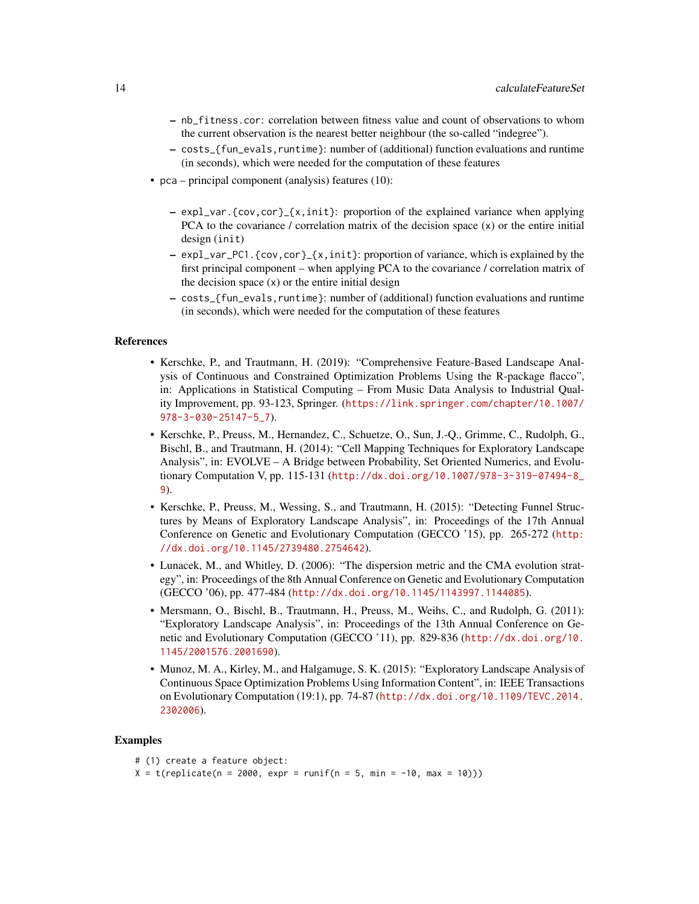- nb\_fitness.cor: correlation between fitness value and count of observations to whom the current observation is the nearest better neighbour (the so-called "indegree").
- costs\_{fun\_evals,runtime}: number of (additional) function evaluations and runtime (in seconds), which were needed for the computation of these features
- pca principal component (analysis) features (10):
	- expl\_var.{cov,cor}\_{x,init}: proportion of the explained variance when applying PCA to the covariance / correlation matrix of the decision space  $(x)$  or the entire initial design (init)
	- expl\_var\_PC1.{cov,cor}\_{x,init}: proportion of variance, which is explained by the first principal component – when applying PCA to the covariance / correlation matrix of the decision space  $(x)$  or the entire initial design
	- costs\_{fun\_evals,runtime}: number of (additional) function evaluations and runtime (in seconds), which were needed for the computation of these features

#### References

- Kerschke, P., and Trautmann, H. (2019): "Comprehensive Feature-Based Landscape Analysis of Continuous and Constrained Optimization Problems Using the R-package flacco", in: Applications in Statistical Computing – From Music Data Analysis to Industrial Quality Improvement, pp. 93-123, Springer. ([https://link.springer.com/chapter/10.1007/](https://link.springer.com/chapter/10.1007/978-3-030-25147-5_7) [978-3-030-25147-5\\_7](https://link.springer.com/chapter/10.1007/978-3-030-25147-5_7)).
- Kerschke, P., Preuss, M., Hernandez, C., Schuetze, O., Sun, J.-Q., Grimme, C., Rudolph, G., Bischl, B., and Trautmann, H. (2014): "Cell Mapping Techniques for Exploratory Landscape Analysis", in: EVOLVE – A Bridge between Probability, Set Oriented Numerics, and Evolutionary Computation V, pp. 115-131 ([http://dx.doi.org/10.1007/978-3-319-07494-8\\_](http://dx.doi.org/10.1007/978-3-319-07494-8_9) [9](http://dx.doi.org/10.1007/978-3-319-07494-8_9)).
- Kerschke, P., Preuss, M., Wessing, S., and Trautmann, H. (2015): "Detecting Funnel Structures by Means of Exploratory Landscape Analysis", in: Proceedings of the 17th Annual Conference on Genetic and Evolutionary Computation (GECCO '15), pp. 265-272 ([http:](http://dx.doi.org/10.1145/2739480.2754642) [//dx.doi.org/10.1145/2739480.2754642](http://dx.doi.org/10.1145/2739480.2754642)).
- Lunacek, M., and Whitley, D. (2006): "The dispersion metric and the CMA evolution strategy", in: Proceedings of the 8th Annual Conference on Genetic and Evolutionary Computation (GECCO '06), pp. 477-484 (<http://dx.doi.org/10.1145/1143997.1144085>).
- Mersmann, O., Bischl, B., Trautmann, H., Preuss, M., Weihs, C., and Rudolph, G. (2011): "Exploratory Landscape Analysis", in: Proceedings of the 13th Annual Conference on Genetic and Evolutionary Computation (GECCO '11), pp. 829-836 ([http://dx.doi.org/10.](http://dx.doi.org/10.1145/2001576.2001690) [1145/2001576.2001690](http://dx.doi.org/10.1145/2001576.2001690)).
- Munoz, M. A., Kirley, M., and Halgamuge, S. K. (2015): "Exploratory Landscape Analysis of Continuous Space Optimization Problems Using Information Content", in: IEEE Transactions on Evolutionary Computation (19:1), pp. 74-87 ([http://dx.doi.org/10.1109/TEVC.2014.](http://dx.doi.org/10.1109/TEVC.2014.2302006) [2302006](http://dx.doi.org/10.1109/TEVC.2014.2302006)).

#### Examples

```
# (1) create a feature object:
X = t(replicate(n = 2000, expr = runif(n = 5, min = -10, max = 10)))
```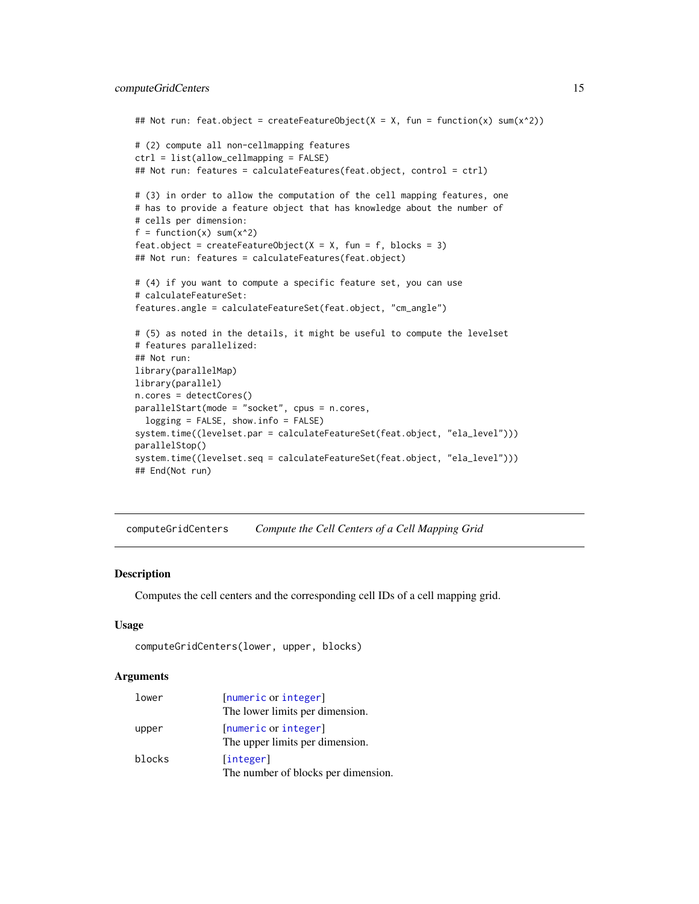```
## Not run: feat.object = createFeatureObject(X = X, fun = function(x) sum(x^2))
# (2) compute all non-cellmapping features
ctrl = list(allow_cellmapping = FALSE)
## Not run: features = calculateFeatures(feat.object, control = ctrl)
# (3) in order to allow the computation of the cell mapping features, one
# has to provide a feature object that has knowledge about the number of
# cells per dimension:
f = function(x) sum(x^2)feat.object = createFeatureObject(X = X, fun = f, blocks = 3)
## Not run: features = calculateFeatures(feat.object)
# (4) if you want to compute a specific feature set, you can use
# calculateFeatureSet:
features.angle = calculateFeatureSet(feat.object, "cm_angle")
# (5) as noted in the details, it might be useful to compute the levelset
# features parallelized:
## Not run:
library(parallelMap)
library(parallel)
n.cores = detectCores()
parallelStart(mode = "socket", cpus = n.cores,
  logging = FALSE, show.info = FALSE)
system.time((levelset.par = calculateFeatureSet(feat.object, "ela_level")))
parallelStop()
system.time((levelset.seq = calculateFeatureSet(feat.object, "ela_level")))
## End(Not run)
```
computeGridCenters *Compute the Cell Centers of a Cell Mapping Grid*

#### **Description**

Computes the cell centers and the corresponding cell IDs of a cell mapping grid.

#### Usage

```
computeGridCenters(lower, upper, blocks)
```
#### **Arguments**

| lower  | [numeric or integer]<br>The lower limits per dimension. |
|--------|---------------------------------------------------------|
| upper  | [numeric or integer]<br>The upper limits per dimension. |
| blocks | [integer]<br>The number of blocks per dimension.        |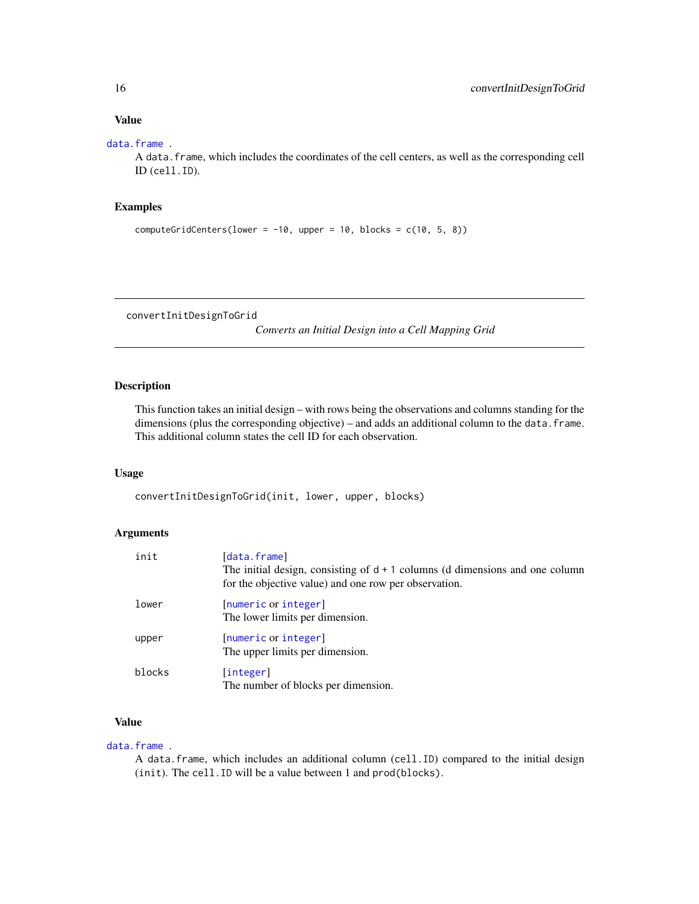#### <span id="page-15-0"></span>Value

#### [data.frame](#page-0-0) .

A data.frame, which includes the coordinates of the cell centers, as well as the corresponding cell ID (cell.ID).

# Examples

```
computeGridCenters(lower = -10, upper = 10, blocks = c(10, 5, 8))
```
convertInitDesignToGrid

*Converts an Initial Design into a Cell Mapping Grid*

#### Description

This function takes an initial design – with rows being the observations and columns standing for the dimensions (plus the corresponding objective) – and adds an additional column to the data. frame. This additional column states the cell ID for each observation.

#### Usage

convertInitDesignToGrid(init, lower, upper, blocks)

# Arguments

| init   | [data.frame]<br>The initial design, consisting of $d + 1$ columns (d dimensions and one column<br>for the objective value) and one row per observation. |
|--------|---------------------------------------------------------------------------------------------------------------------------------------------------------|
| lower  | [numeric or integer]<br>The lower limits per dimension.                                                                                                 |
| upper  | [numeric or integer]<br>The upper limits per dimension.                                                                                                 |
| blocks | [integer]<br>The number of blocks per dimension.                                                                                                        |

# Value

#### [data.frame](#page-0-0) .

A data.frame, which includes an additional column (cell.ID) compared to the initial design (init). The cell.ID will be a value between 1 and prod(blocks).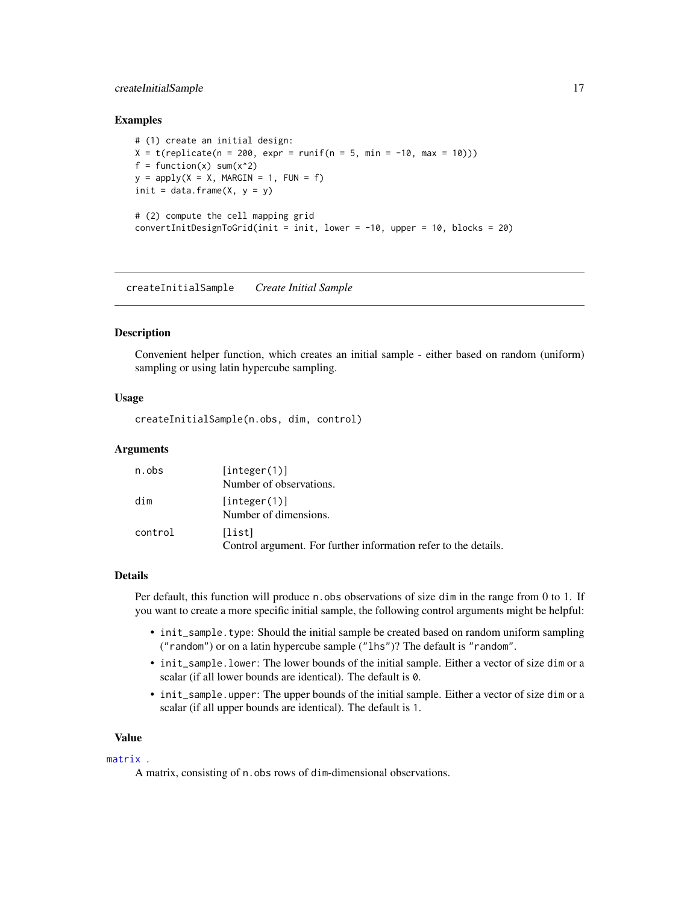# <span id="page-16-0"></span>createInitialSample 17

#### Examples

```
# (1) create an initial design:
X = t(replicate(n = 200, expr = runif(n = 5, min = -10, max = 10)))
f = function(x) sum(x^2)y = apply(X = X, MARGIN = 1, FUN = f)init = data.frame(X, y = y)# (2) compute the cell mapping grid
convertInitDesignToGrid(int = init, lower = -10, upper = 10, blocks = 20)
```
createInitialSample *Create Initial Sample*

# **Description**

Convenient helper function, which creates an initial sample - either based on random (uniform) sampling or using latin hypercube sampling.

#### Usage

createInitialSample(n.obs, dim, control)

#### Arguments

| n.obs   | [integer(1)]                                                              |
|---------|---------------------------------------------------------------------------|
|         | Number of observations.                                                   |
| dim     | [integer(1)]<br>Number of dimensions.                                     |
| control | [list]<br>Control argument. For further information refer to the details. |

#### Details

Per default, this function will produce n.obs observations of size dim in the range from 0 to 1. If you want to create a more specific initial sample, the following control arguments might be helpful:

- init\_sample.type: Should the initial sample be created based on random uniform sampling ("random") or on a latin hypercube sample ("lhs")? The default is "random".
- init\_sample.lower: The lower bounds of the initial sample. Either a vector of size dim or a scalar (if all lower bounds are identical). The default is 0.
- init\_sample.upper: The upper bounds of the initial sample. Either a vector of size dim or a scalar (if all upper bounds are identical). The default is 1.

#### Value

#### [matrix](#page-0-0) .

A matrix, consisting of n.obs rows of dim-dimensional observations.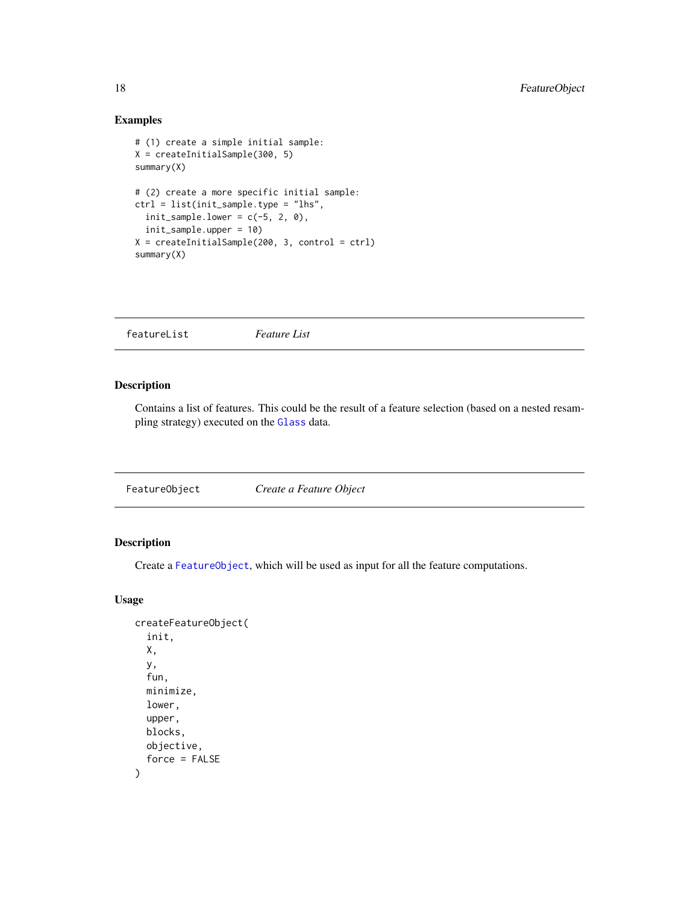# Examples

```
# (1) create a simple initial sample:
X = createInitialSample(300, 5)
summary(X)
# (2) create a more specific initial sample:
ctrl = list(init_sample.type = "lhs",
  init\_sample.lower = c(-5, 2, 0),init_sample.upper = 10)
X = createInitialSample(200, 3, control = ctrl)
summary(X)
```
featureList *Feature List*

#### Description

Contains a list of features. This could be the result of a feature selection (based on a nested resampling strategy) executed on the [Glass](#page-0-0) data.

<span id="page-17-1"></span>

| FeatureObject | Create a Feature Object |  |
|---------------|-------------------------|--|
|---------------|-------------------------|--|

# <span id="page-17-2"></span>Description

Create a [FeatureObject](#page-17-1), which will be used as input for all the feature computations.

#### Usage

```
createFeatureObject(
  init,
  X,
  y,
  fun,
  minimize,
  lower,
  upper,
  blocks,
  objective,
  force = FALSE
\mathcal{E}
```
<span id="page-17-0"></span>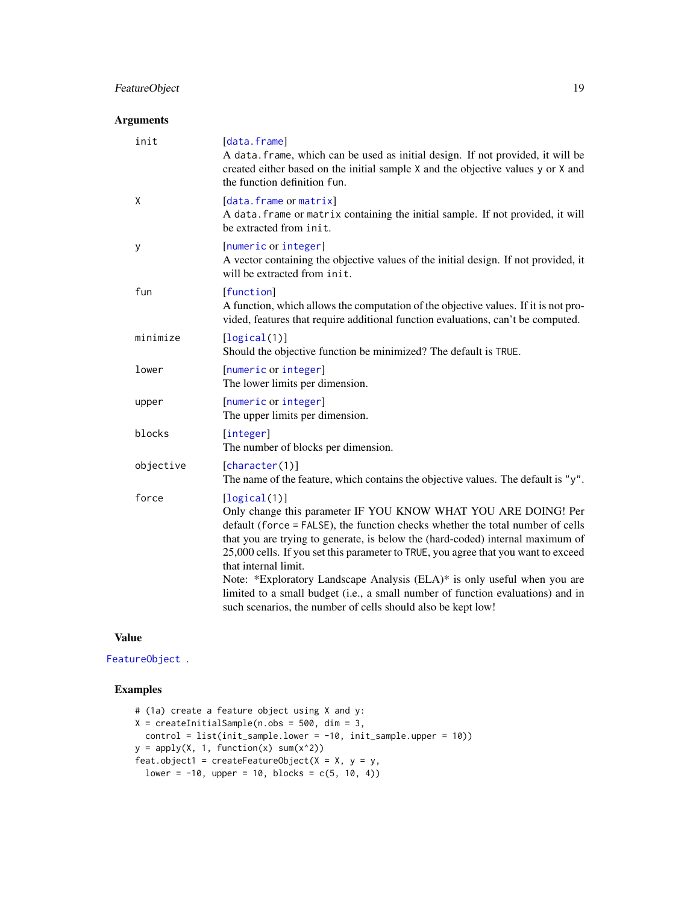# <span id="page-18-0"></span>FeatureObject 19

# Arguments

| init      | [data.frame]<br>A data. frame, which can be used as initial design. If not provided, it will be<br>created either based on the initial sample X and the objective values y or X and<br>the function definition fun.                                                                                                                                                                                                                                                                                                                                                                             |
|-----------|-------------------------------------------------------------------------------------------------------------------------------------------------------------------------------------------------------------------------------------------------------------------------------------------------------------------------------------------------------------------------------------------------------------------------------------------------------------------------------------------------------------------------------------------------------------------------------------------------|
| X         | [data.frame or matrix]<br>A data. frame or matrix containing the initial sample. If not provided, it will<br>be extracted from init.                                                                                                                                                                                                                                                                                                                                                                                                                                                            |
| У         | [numeric or integer]<br>A vector containing the objective values of the initial design. If not provided, it<br>will be extracted from init.                                                                                                                                                                                                                                                                                                                                                                                                                                                     |
| fun       | [function]<br>A function, which allows the computation of the objective values. If it is not pro-<br>vided, features that require additional function evaluations, can't be computed.                                                                                                                                                                                                                                                                                                                                                                                                           |
| minimize  | [logical(1)]<br>Should the objective function be minimized? The default is TRUE.                                                                                                                                                                                                                                                                                                                                                                                                                                                                                                                |
| lower     | [numeric or integer]<br>The lower limits per dimension.                                                                                                                                                                                                                                                                                                                                                                                                                                                                                                                                         |
| upper     | [numeric or integer]<br>The upper limits per dimension.                                                                                                                                                                                                                                                                                                                                                                                                                                                                                                                                         |
| blocks    | [integer]<br>The number of blocks per dimension.                                                                                                                                                                                                                                                                                                                                                                                                                                                                                                                                                |
| objective | [character(1)]<br>The name of the feature, which contains the objective values. The default is "y".                                                                                                                                                                                                                                                                                                                                                                                                                                                                                             |
| force     | [logical(1)]<br>Only change this parameter IF YOU KNOW WHAT YOU ARE DOING! Per<br>default (force = FALSE), the function checks whether the total number of cells<br>that you are trying to generate, is below the (hard-coded) internal maximum of<br>25,000 cells. If you set this parameter to TRUE, you agree that you want to exceed<br>that internal limit.<br>Note: *Exploratory Landscape Analysis (ELA)* is only useful when you are<br>limited to a small budget (i.e., a small number of function evaluations) and in<br>such scenarios, the number of cells should also be kept low! |

# Value

[FeatureObject](#page-17-1) .

# Examples

```
# (1a) create a feature object using X and y:
X = \text{createInitialSample}(n.\text{obs} = 500, \text{dim} = 3,control = list(init_sample.lower = -10, init_sample.upper = 10))
y = apply(X, 1, function(x) sum(x<sup>2</sup>))feat.object1 = createFeatureObject(X = X, y = y,
 lower = -10, upper = 10, blocks = c(5, 10, 4))
```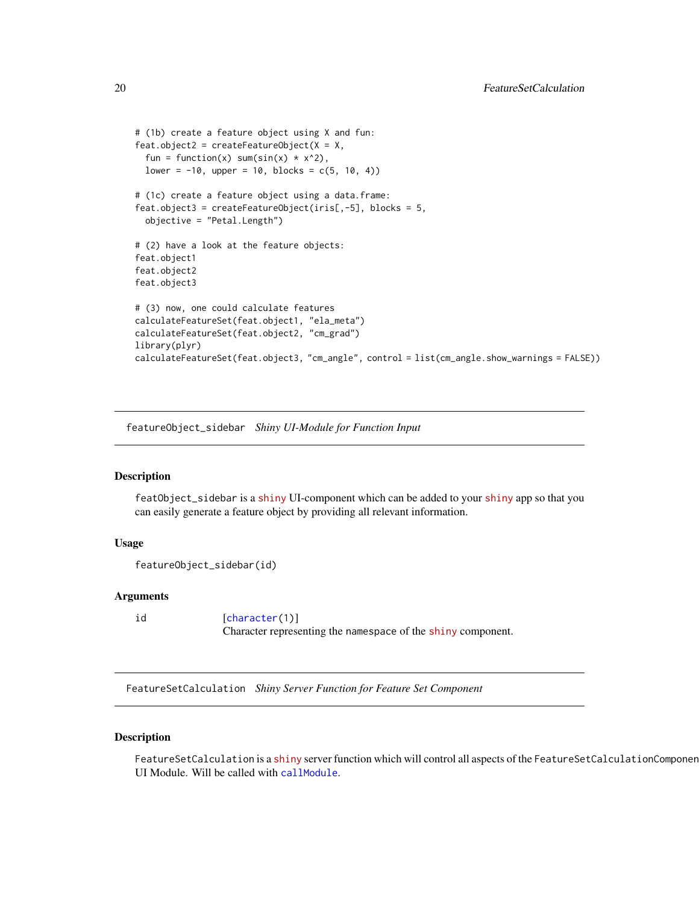```
# (1b) create a feature object using X and fun:
feat.object2 = createFeatureObject(X = X,
 fun = function(x) sum(sin(x) * x^2),
 lower = -10, upper = 10, blocks = c(5, 10, 4))
# (1c) create a feature object using a data.frame:
feat.object3 = createFeatureObject(iris[,-5], blocks = 5,
 objective = "Petal.Length")
# (2) have a look at the feature objects:
feat.object1
feat.object2
feat.object3
# (3) now, one could calculate features
calculateFeatureSet(feat.object1, "ela_meta")
calculateFeatureSet(feat.object2, "cm_grad")
library(plyr)
calculateFeatureSet(feat.object3, "cm_angle", control = list(cm_angle.show_warnings = FALSE))
```
featureObject\_sidebar *Shiny UI-Module for Function Input*

# **Description**

featObject\_sidebar is a [shiny](https://CRAN.R-project.org/package=shiny) UI-component which can be added to your [shiny](https://CRAN.R-project.org/package=shiny) app so that you can easily generate a feature object by providing all relevant information.

#### Usage

```
featureObject_sidebar(id)
```
#### Arguments

id [[character\(](#page-0-0)1)] Character representing the namespace of the [shiny](https://CRAN.R-project.org/package=shiny) component.

FeatureSetCalculation *Shiny Server Function for Feature Set Component*

#### Description

FeatureSetCalculation is a [shiny](https://CRAN.R-project.org/package=shiny) server function which will control all aspects of the FeatureSetCalculationComponen UI Module. Will be called with [callModule](#page-0-0).

<span id="page-19-0"></span>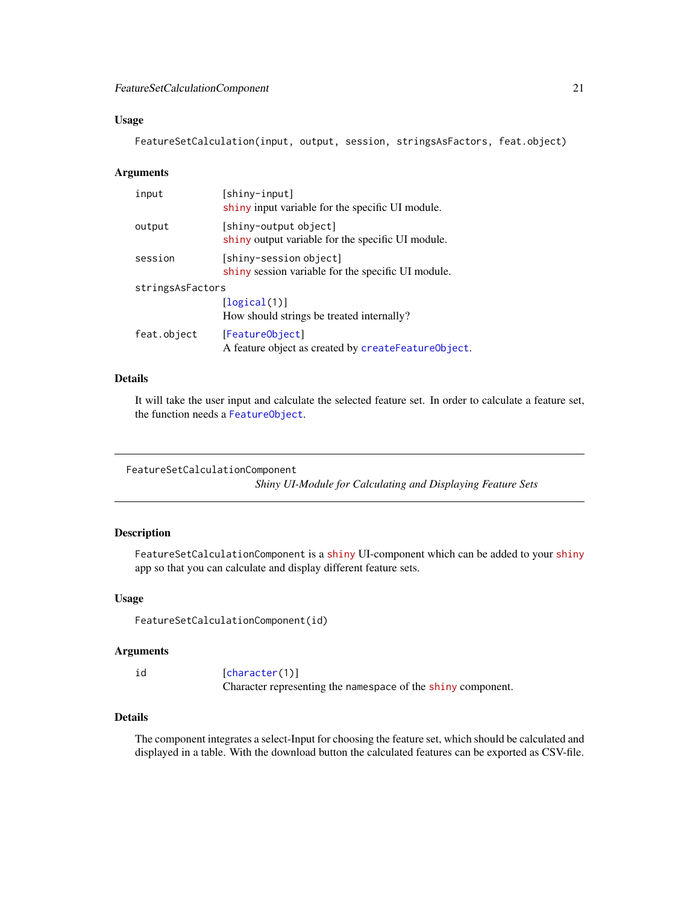#### <span id="page-20-0"></span>Usage

FeatureSetCalculation(input, output, session, stringsAsFactors, feat.object)

#### Arguments

| input            | [shiny-input]<br>shiny input variable for the specific UI module.            |
|------------------|------------------------------------------------------------------------------|
| output           | [shiny-output object]<br>shiny output variable for the specific UI module.   |
| session          | [shiny-session object]<br>shiny session variable for the specific UI module. |
| stringsAsFactors |                                                                              |
|                  | [logical(1)]<br>How should strings be treated internally?                    |
| feat.object      | [FeatureObject]<br>A feature object as created by createFeatureObject.       |

### Details

It will take the user input and calculate the selected feature set. In order to calculate a feature set, the function needs a [FeatureObject](#page-17-1).

```
FeatureSetCalculationComponent
```
*Shiny UI-Module for Calculating and Displaying Feature Sets*

# Description

FeatureSetCalculationComponent is a [shiny](https://CRAN.R-project.org/package=shiny) UI-component which can be added to your [shiny](https://CRAN.R-project.org/package=shiny) app so that you can calculate and display different feature sets.

#### Usage

FeatureSetCalculationComponent(id)

#### Arguments

id [[character\(](#page-0-0)1)] Character representing the namespace of the [shiny](https://CRAN.R-project.org/package=shiny) component.

#### Details

The component integrates a select-Input for choosing the feature set, which should be calculated and displayed in a table. With the download button the calculated features can be exported as CSV-file.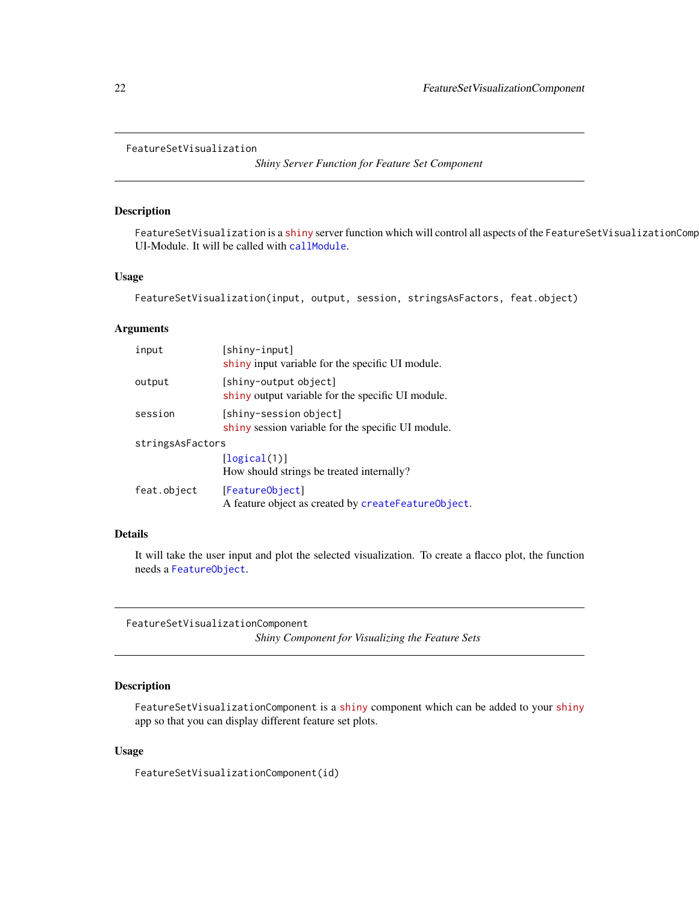<span id="page-21-0"></span>FeatureSetVisualization

*Shiny Server Function for Feature Set Component*

#### Description

FeatureSetVisualization is a [shiny](https://CRAN.R-project.org/package=shiny) server function which will control all aspects of the FeatureSetVisualizationComp UI-Module. It will be called with [callModule](#page-0-0).

# Usage

FeatureSetVisualization(input, output, session, stringsAsFactors, feat.object)

#### Arguments

| input            | [shiny-input]<br>shiny input variable for the specific UI module.            |
|------------------|------------------------------------------------------------------------------|
| output           | [shiny-output object]<br>shiny output variable for the specific UI module.   |
| session          | [shiny-session object]<br>shiny session variable for the specific UI module. |
| stringsAsFactors |                                                                              |
|                  | [logical(1)]<br>How should strings be treated internally?                    |
| feat.object      | [FeatureObject]<br>A feature object as created by createFeatureObject.       |

# Details

It will take the user input and plot the selected visualization. To create a flacco plot, the function needs a [FeatureObject](#page-17-1).

FeatureSetVisualizationComponent

# *Shiny Component for Visualizing the Feature Sets*

# Description

FeatureSetVisualizationComponent is a [shiny](https://CRAN.R-project.org/package=shiny) component which can be added to your [shiny](https://CRAN.R-project.org/package=shiny) app so that you can display different feature set plots.

#### Usage

FeatureSetVisualizationComponent(id)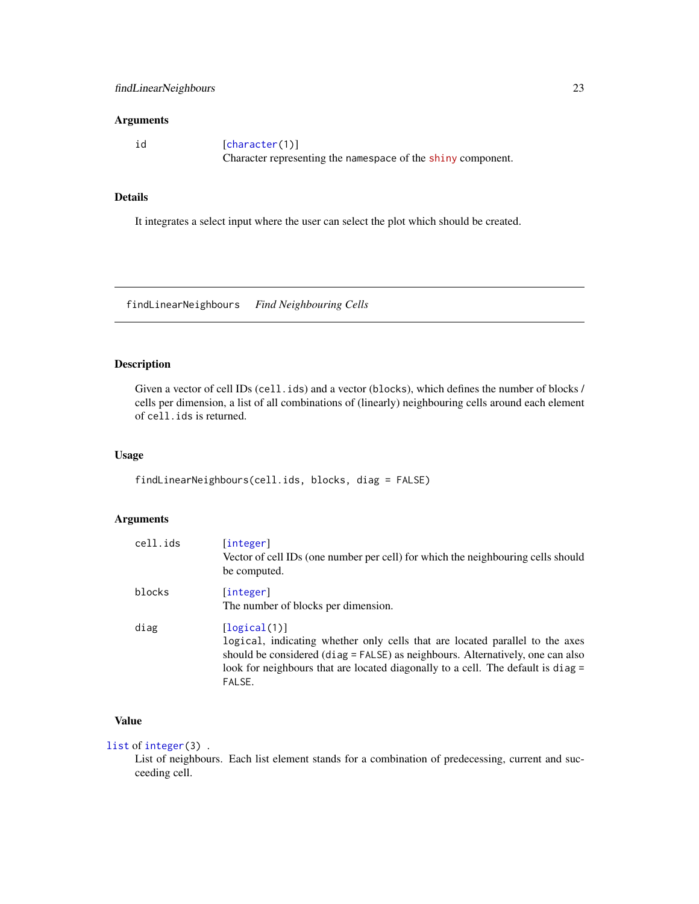# <span id="page-22-0"></span>Arguments

id [[character\(](#page-0-0)1)] Character representing the namespace of the [shiny](https://CRAN.R-project.org/package=shiny) component.

# Details

It integrates a select input where the user can select the plot which should be created.

findLinearNeighbours *Find Neighbouring Cells*

# Description

Given a vector of cell IDs (cell.ids) and a vector (blocks), which defines the number of blocks / cells per dimension, a list of all combinations of (linearly) neighbouring cells around each element of cell.ids is returned.

#### Usage

findLinearNeighbours(cell.ids, blocks, diag = FALSE)

# Arguments

| cell.ids | [integer]<br>Vector of cell IDs (one number per cell) for which the neighbouring cells should<br>be computed.                                                                                                                                                                |
|----------|------------------------------------------------------------------------------------------------------------------------------------------------------------------------------------------------------------------------------------------------------------------------------|
| blocks   | [integer]<br>The number of blocks per dimension.                                                                                                                                                                                                                             |
| diag     | [logical(1)]<br>logical, indicating whether only cells that are located parallel to the axes<br>should be considered (diag = FALSE) as neighbours. Alternatively, one can also<br>look for neighbours that are located diagonally to a cell. The default is diag =<br>FALSE. |

# Value

[list](#page-0-0) of [integer\(](#page-0-0)3) .

List of neighbours. Each list element stands for a combination of predecessing, current and succeeding cell.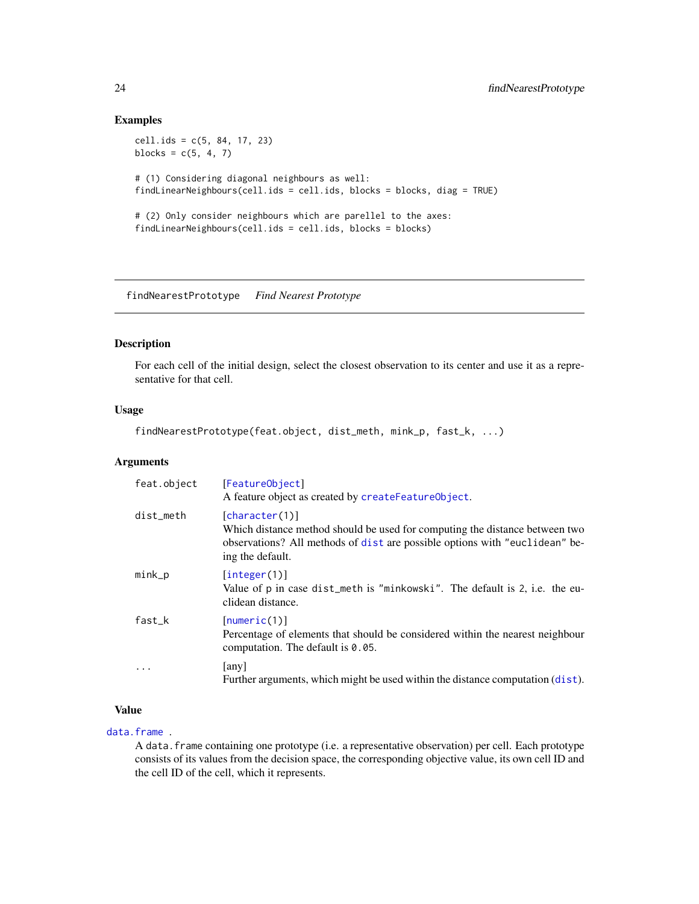#### Examples

cell.ids = c(5, 84, 17, 23) blocks =  $c(5, 4, 7)$ # (1) Considering diagonal neighbours as well: findLinearNeighbours(cell.ids = cell.ids, blocks = blocks, diag = TRUE) # (2) Only consider neighbours which are parellel to the axes: findLinearNeighbours(cell.ids = cell.ids, blocks = blocks)

findNearestPrototype *Find Nearest Prototype*

#### Description

For each cell of the initial design, select the closest observation to its center and use it as a representative for that cell.

#### Usage

```
findNearestPrototype(feat.object, dist_meth, mink_p, fast_k, ...)
```
#### Arguments

| feat.object | [FeatureObject]<br>A feature object as created by createFeatureObject.                                                                                                                           |
|-------------|--------------------------------------------------------------------------------------------------------------------------------------------------------------------------------------------------|
| dist_meth   | [character(1)]<br>Which distance method should be used for computing the distance between two<br>observations? All methods of dist are possible options with "euclidean" be-<br>ing the default. |
| $mink_p$    | [integer(1)]<br>Value of p in case dist_meth is "minkowski". The default is 2, i.e. the eu-<br>clidean distance.                                                                                 |
| $fast_k$    | [numeric(1)]<br>Percentage of elements that should be considered within the nearest neighbour<br>computation. The default is $0.05$ .                                                            |
| $\ddotsc$   | any<br>Further arguments, which might be used within the distance computation (dist).                                                                                                            |

# Value

# [data.frame](#page-0-0) .

A data.frame containing one prototype (i.e. a representative observation) per cell. Each prototype consists of its values from the decision space, the corresponding objective value, its own cell ID and the cell ID of the cell, which it represents.

<span id="page-23-0"></span>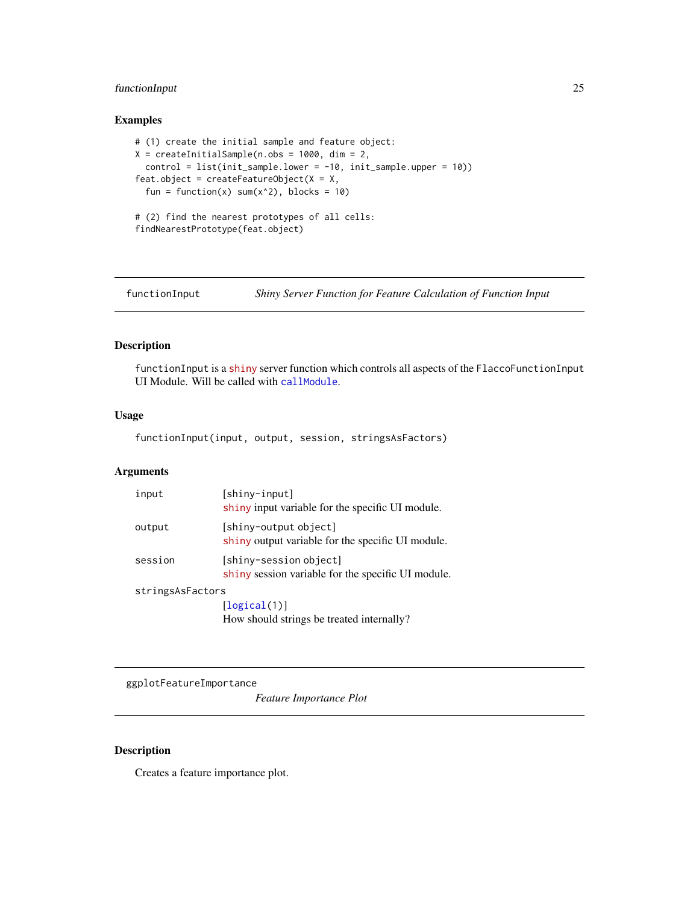# <span id="page-24-0"></span>functionInput 25

# Examples

```
# (1) create the initial sample and feature object:
X = \text{createInitialSample}(n.obs = 1000, \text{dim} = 2,control = list(init_sample.lower = -10, init_sample.upper = 10))
feat.object = createFeatureObject(X = X,fun = function(x) sum(x^2), blocks = 10)
# (2) find the nearest prototypes of all cells:
findNearestPrototype(feat.object)
```
functionInput *Shiny Server Function for Feature Calculation of Function Input*

# Description

functionInput is a [shiny](https://CRAN.R-project.org/package=shiny) server function which controls all aspects of the FlaccoFunctionInput UI Module. Will be called with [callModule](#page-0-0).

# Usage

functionInput(input, output, session, stringsAsFactors)

# Arguments

| input            | [shiny-input]<br>shiny input variable for the specific UI module.            |
|------------------|------------------------------------------------------------------------------|
| output           | [shiny-output object]<br>shiny output variable for the specific UI module.   |
| session          | [shiny-session object]<br>shiny session variable for the specific UI module. |
| stringsAsFactors |                                                                              |
|                  | [logical(1)]                                                                 |

How should strings be treated internally?

ggplotFeatureImportance

*Feature Importance Plot*

#### Description

Creates a feature importance plot.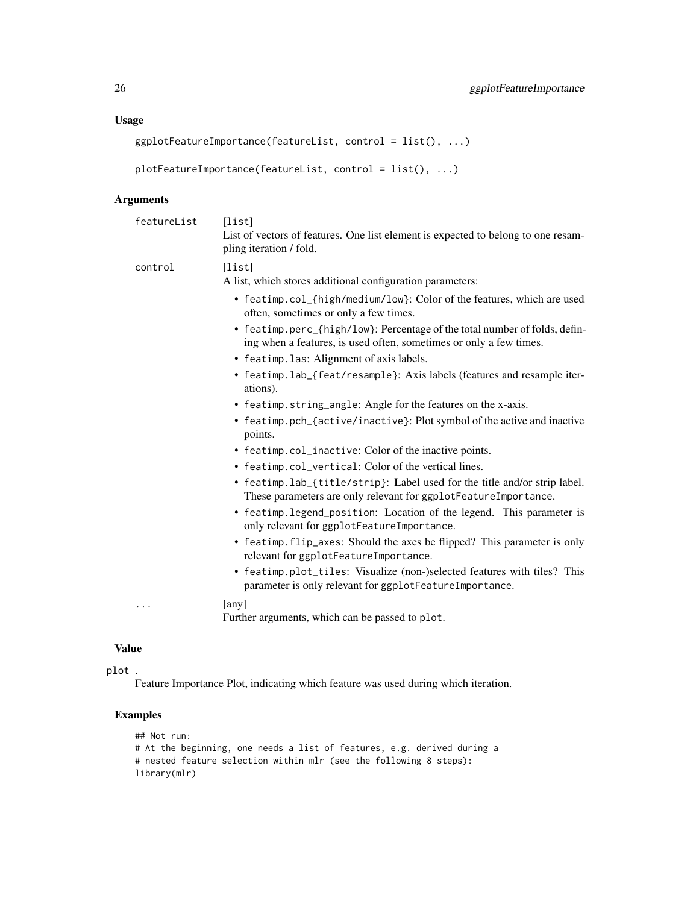# Usage

```
ggplotFeatureImportance(featureList, control = list(), ...)
```

```
plotFeatureImportance(featureList, control = list(), ...)
```
# Arguments

| featureList | [list]<br>List of vectors of features. One list element is expected to belong to one resam-<br>pling iteration / fold.                           |
|-------------|--------------------------------------------------------------------------------------------------------------------------------------------------|
| control     | [list]<br>A list, which stores additional configuration parameters:                                                                              |
|             | • featimp.col_{high/medium/low}: Color of the features, which are used<br>often, sometimes or only a few times.                                  |
|             | • featimp.perc_{high/low}: Percentage of the total number of folds, defin-<br>ing when a features, is used often, sometimes or only a few times. |
|             | • featimp. las: Alignment of axis labels.                                                                                                        |
|             | • featimp.lab_{feat/resample}: Axis labels (features and resample iter-<br>ations).                                                              |
|             | • featimp.string_angle: Angle for the features on the x-axis.                                                                                    |
|             | • featimp.pch_{active/inactive}: Plot symbol of the active and inactive<br>points.                                                               |
|             | • featimp.col_inactive: Color of the inactive points.                                                                                            |
|             | • featimp.col_vertical: Color of the vertical lines.                                                                                             |
|             | • featimp.lab_{title/strip}: Label used for the title and/or strip label.<br>These parameters are only relevant for ggplotFeatureImportance.     |
|             | • featimp.legend_position: Location of the legend. This parameter is<br>only relevant for ggplotFeatureImportance.                               |
|             | • featimp. flip_axes: Should the axes be flipped? This parameter is only<br>relevant for ggplotFeatureImportance.                                |
|             | • featimp.plot_tiles: Visualize (non-)selected features with tiles? This<br>parameter is only relevant for ggplotFeatureImportance.              |
| .           | [any]<br>Further arguments, which can be passed to plot.                                                                                         |

# Value

plot .

Feature Importance Plot, indicating which feature was used during which iteration.

# Examples

```
## Not run:
# At the beginning, one needs a list of features, e.g. derived during a
# nested feature selection within mlr (see the following 8 steps):
library(mlr)
```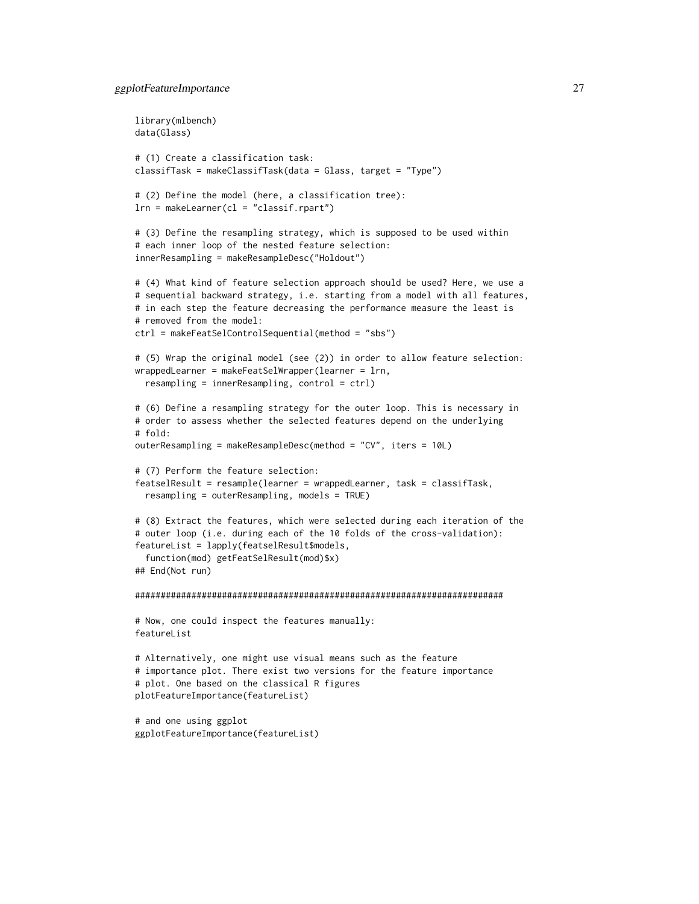```
library(mlbench)
data(Glass)
# (1) Create a classification task:
classifTask = makeClassifTask(data = Glass, target = "Type")
# (2) Define the model (here, a classification tree):
lrn = makeLearner(cl = "classif.rpart")
# (3) Define the resampling strategy, which is supposed to be used within
# each inner loop of the nested feature selection:
innerResampling = makeResampleDesc("Holdout")
# (4) What kind of feature selection approach should be used? Here, we use a
# sequential backward strategy, i.e. starting from a model with all features,
# in each step the feature decreasing the performance measure the least is
# removed from the model:
ctrl = makeFeatSelControlSequential(method = "sbs")
# (5) Wrap the original model (see (2)) in order to allow feature selection:
wrappedLearner = makeFeatSelWrapper(learner = lrn,
 resampling = innerResampling, control = ctrl)
# (6) Define a resampling strategy for the outer loop. This is necessary in
# order to assess whether the selected features depend on the underlying
# fold:
outerResampling = makeResampleDesc(method = "CV", iters = 10L)
# (7) Perform the feature selection:
featselResult = resample(learner = wrappedLearner, task = classifTask,
 resampling = outerResampling, models = TRUE)
# (8) Extract the features, which were selected during each iteration of the
# outer loop (i.e. during each of the 10 folds of the cross-validation):
featureList = lapply(featselResult$models,
  function(mod) getFeatSelResult(mod)$x)
## End(Not run)
########################################################################
# Now, one could inspect the features manually:
featureList
# Alternatively, one might use visual means such as the feature
# importance plot. There exist two versions for the feature importance
# plot. One based on the classical R figures
plotFeatureImportance(featureList)
# and one using ggplot
ggplotFeatureImportance(featureList)
```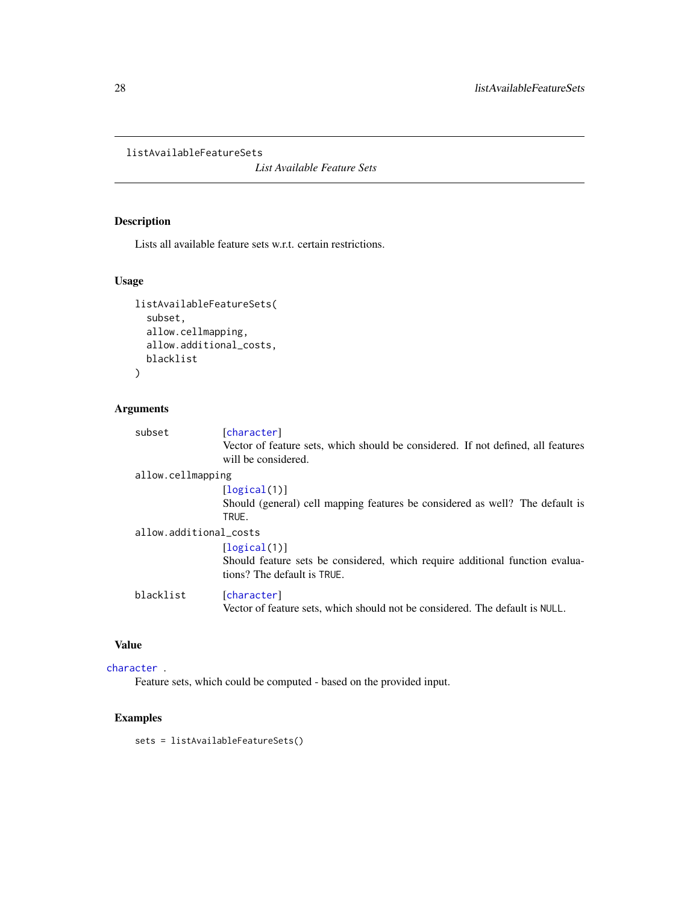```
listAvailableFeatureSets
```
*List Available Feature Sets*

# Description

Lists all available feature sets w.r.t. certain restrictions.

# Usage

```
listAvailableFeatureSets(
  subset,
  allow.cellmapping,
  allow.additional_costs,
  blacklist
\mathcal{L}
```
# Arguments

| subset                 | [character]                                                                      |
|------------------------|----------------------------------------------------------------------------------|
|                        | Vector of feature sets, which should be considered. If not defined, all features |
|                        | will be considered.                                                              |
| allow.cellmapping      |                                                                                  |
|                        | [logical(1)]                                                                     |
|                        | Should (general) cell mapping features be considered as well? The default is     |
|                        | TRUE.                                                                            |
| allow.additional_costs |                                                                                  |
|                        | [logical(1)]                                                                     |
|                        | Should feature sets be considered, which require additional function evalua-     |
|                        | tions? The default is TRUE.                                                      |
| blacklist              | [character]                                                                      |
|                        | Vector of feature sets, which should not be considered. The default is NULL.     |

# Value

```
character .
```
Feature sets, which could be computed - based on the provided input.

# Examples

sets = listAvailableFeatureSets()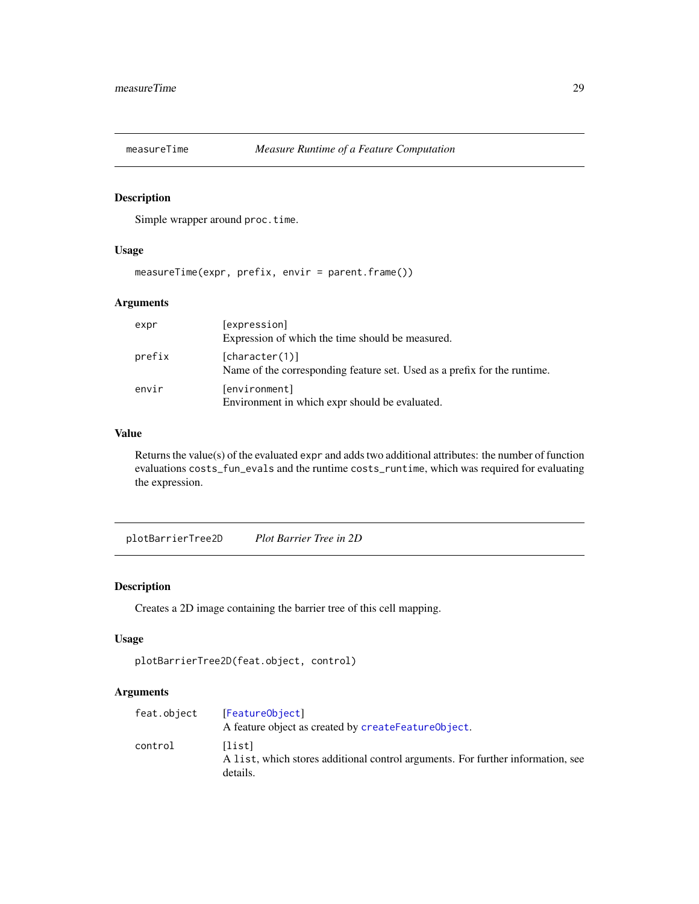<span id="page-28-0"></span>

# Description

Simple wrapper around proc.time.

# Usage

measureTime(expr, prefix, envir = parent.frame())

### Arguments

| expr   | [expression]<br>Expression of which the time should be measured.                           |
|--------|--------------------------------------------------------------------------------------------|
| prefix | [character(1)]<br>Name of the corresponding feature set. Used as a prefix for the runtime. |
| envir  | [environment]<br>Environment in which expr should be evaluated.                            |

# Value

Returns the value(s) of the evaluated expr and adds two additional attributes: the number of function evaluations costs\_fun\_evals and the runtime costs\_runtime, which was required for evaluating the expression.

plotBarrierTree2D *Plot Barrier Tree in 2D*

#### Description

Creates a 2D image containing the barrier tree of this cell mapping.

#### Usage

```
plotBarrierTree2D(feat.object, control)
```
# Arguments

| feat.object | [FeatureObject]<br>A feature object as created by createFeatureObject.                                |
|-------------|-------------------------------------------------------------------------------------------------------|
| control     | [list]<br>A list, which stores additional control arguments. For further information, see<br>details. |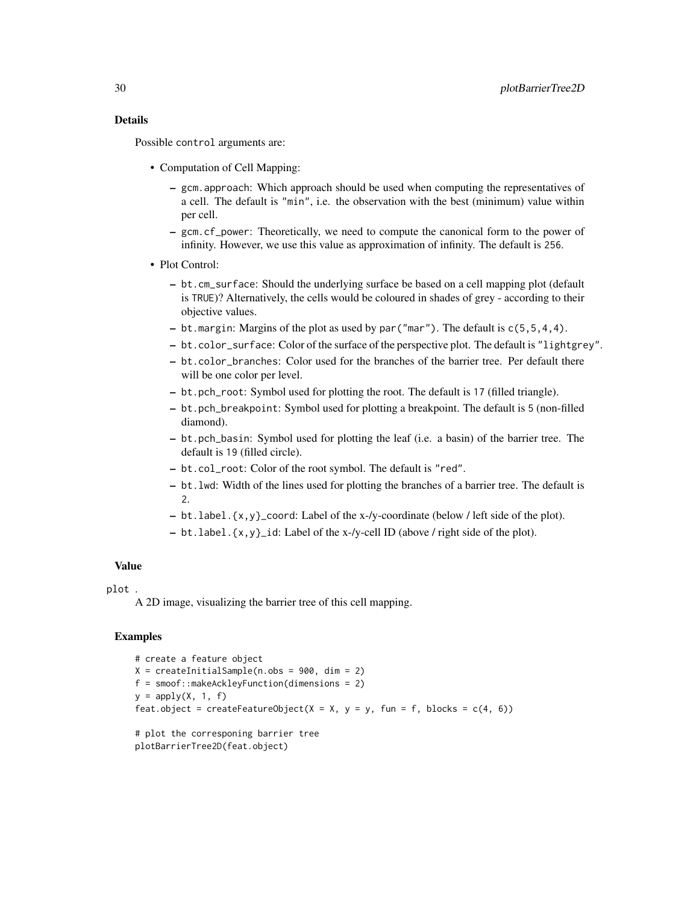# Details

Possible control arguments are:

- Computation of Cell Mapping:
	- gcm.approach: Which approach should be used when computing the representatives of a cell. The default is "min", i.e. the observation with the best (minimum) value within per cell.
	- gcm.cf\_power: Theoretically, we need to compute the canonical form to the power of infinity. However, we use this value as approximation of infinity. The default is 256.
- Plot Control:
	- bt.cm\_surface: Should the underlying surface be based on a cell mapping plot (default is TRUE)? Alternatively, the cells would be coloured in shades of grey - according to their objective values.
	- bt.margin: Margins of the plot as used by par ("mar"). The default is  $c(5,5,4,4)$ .
	- bt.color\_surface: Color of the surface of the perspective plot. The default is "lightgrey".
	- bt.color\_branches: Color used for the branches of the barrier tree. Per default there will be one color per level.
	- bt.pch\_root: Symbol used for plotting the root. The default is 17 (filled triangle).
	- bt.pch\_breakpoint: Symbol used for plotting a breakpoint. The default is 5 (non-filled diamond).
	- bt.pch\_basin: Symbol used for plotting the leaf (i.e. a basin) of the barrier tree. The default is 19 (filled circle).
	- bt.col\_root: Color of the root symbol. The default is "red".
	- bt.lwd: Width of the lines used for plotting the branches of a barrier tree. The default is 2.
	- bt.label.{x,y}\_coord: Label of the x-/y-coordinate (below / left side of the plot).
	- bt.label.{x,y}\_id: Label of the x-/y-cell ID (above / right side of the plot).

#### Value

#### plot .

A 2D image, visualizing the barrier tree of this cell mapping.

#### Examples

```
# create a feature object
X = \text{createInitialSample}(n.\text{obs} = 900, \text{dim} = 2)f = smoof::makeAckleyFunction(dimensions = 2)
y = apply(X, 1, f)feat.object = createFeatureObject(X = X, y = y, fun = f, blocks = c(4, 6))
# plot the corresponing barrier tree
plotBarrierTree2D(feat.object)
```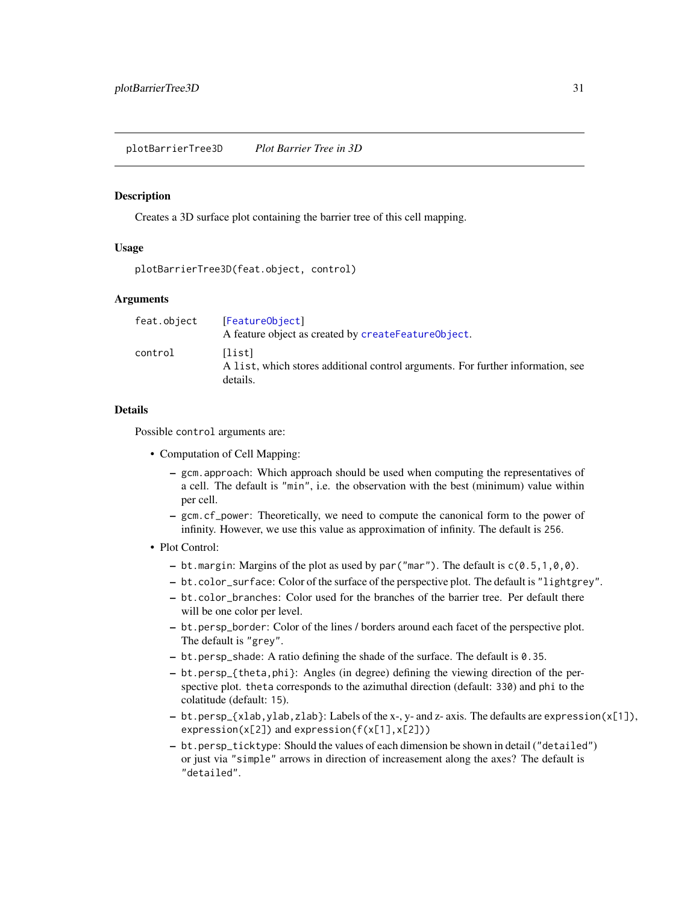#### <span id="page-30-0"></span>**Description**

Creates a 3D surface plot containing the barrier tree of this cell mapping.

#### Usage

```
plotBarrierTree3D(feat.object, control)
```
#### Arguments

| feat.object | [FeatureObject]<br>A feature object as created by createFeatureObject.                                |
|-------------|-------------------------------------------------------------------------------------------------------|
| control     | [list]<br>A list, which stores additional control arguments. For further information, see<br>details. |

#### Details

Possible control arguments are:

- Computation of Cell Mapping:
	- gcm.approach: Which approach should be used when computing the representatives of a cell. The default is "min", i.e. the observation with the best (minimum) value within per cell.
	- gcm.cf\_power: Theoretically, we need to compute the canonical form to the power of infinity. However, we use this value as approximation of infinity. The default is 256.
- Plot Control:
	- bt.margin: Margins of the plot as used by par ("mar"). The default is  $c(0.5, 1, 0, 0)$ .
	- bt.color\_surface: Color of the surface of the perspective plot. The default is "lightgrey".
	- bt.color\_branches: Color used for the branches of the barrier tree. Per default there will be one color per level.
	- bt.persp\_border: Color of the lines / borders around each facet of the perspective plot. The default is "grey".
	- bt.persp\_shade: A ratio defining the shade of the surface. The default is 0.35.
	- bt.persp\_{theta,phi}: Angles (in degree) defining the viewing direction of the perspective plot. theta corresponds to the azimuthal direction (default: 330) and phi to the colatitude (default: 15).
	- bt.persp\_{xlab,ylab,zlab}: Labels of the x-, y- and z- axis. The defaults are expression(x[1]), expression(x[2]) and expression(f(x[1],x[2]))
	- bt.persp\_ticktype: Should the values of each dimension be shown in detail ("detailed") or just via "simple" arrows in direction of increasement along the axes? The default is "detailed".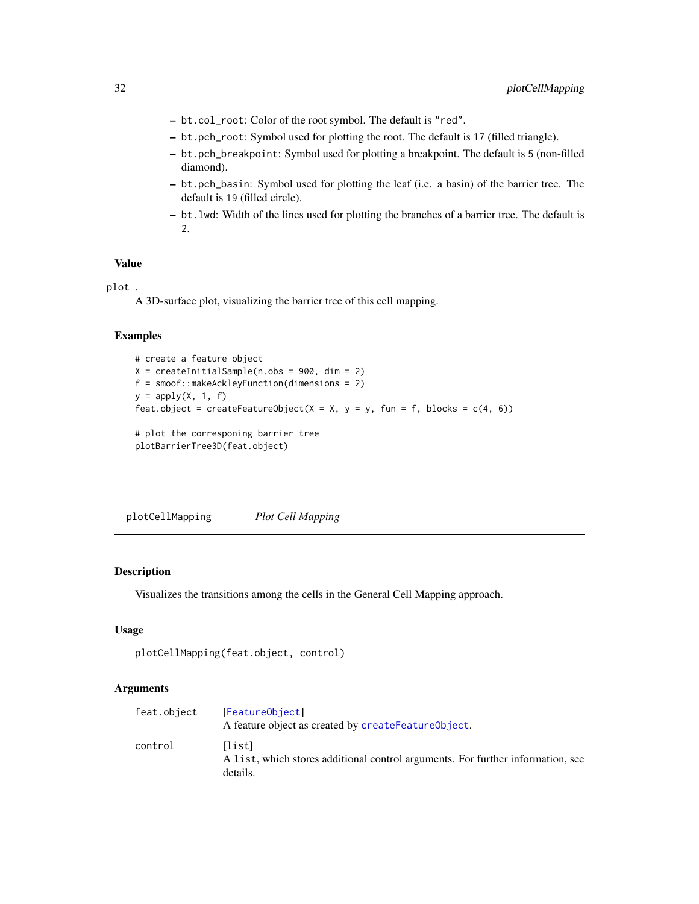- <span id="page-31-0"></span>– bt.col\_root: Color of the root symbol. The default is "red".
- bt.pch\_root: Symbol used for plotting the root. The default is 17 (filled triangle).
- bt.pch\_breakpoint: Symbol used for plotting a breakpoint. The default is 5 (non-filled diamond).
- bt.pch\_basin: Symbol used for plotting the leaf (i.e. a basin) of the barrier tree. The default is 19 (filled circle).
- bt.lwd: Width of the lines used for plotting the branches of a barrier tree. The default is 2.

#### Value

plot .

A 3D-surface plot, visualizing the barrier tree of this cell mapping.

#### Examples

```
# create a feature object
X = \text{createInitialSample}(n.\text{obs} = 900, \text{dim} = 2)f = smoof::makeAckleyFunction(dimensions = 2)
y = apply(X, 1, f)feat.object = createFeatureObject(X = X, y = y, fun = f, blocks = c(4, 6))
# plot the corresponing barrier tree
plotBarrierTree3D(feat.object)
```
plotCellMapping *Plot Cell Mapping*

# Description

Visualizes the transitions among the cells in the General Cell Mapping approach.

#### Usage

```
plotCellMapping(feat.object, control)
```
#### Arguments

| feat.object | [FeatureObject]<br>A feature object as created by createFeatureObject.                                |
|-------------|-------------------------------------------------------------------------------------------------------|
| control     | [list]<br>A list, which stores additional control arguments. For further information, see<br>details. |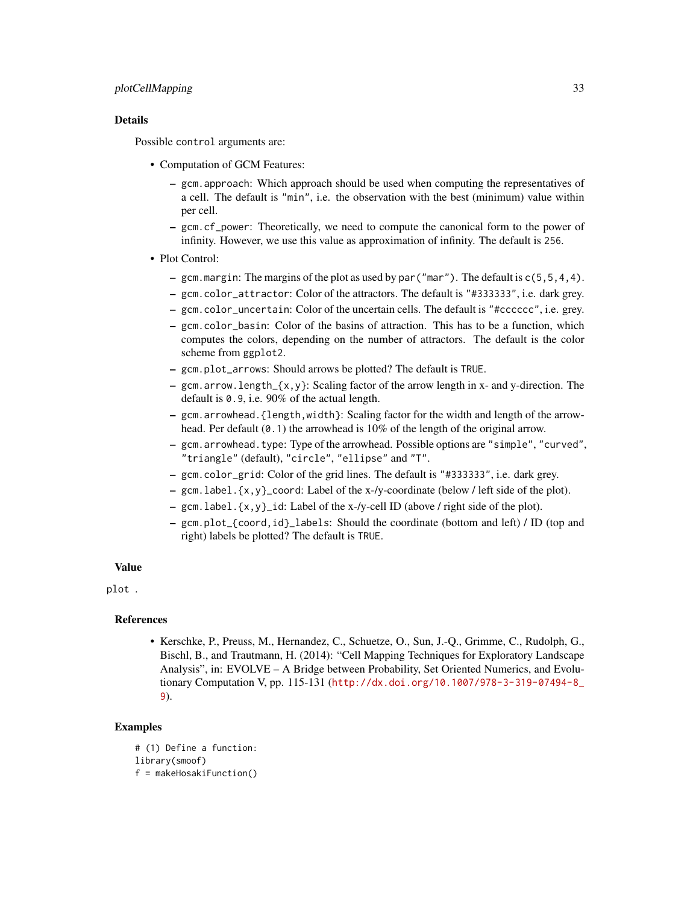#### plotCellMapping 33

#### Details

Possible control arguments are:

- Computation of GCM Features:
	- gcm.approach: Which approach should be used when computing the representatives of a cell. The default is "min", i.e. the observation with the best (minimum) value within per cell.
	- gcm.cf\_power: Theoretically, we need to compute the canonical form to the power of infinity. However, we use this value as approximation of infinity. The default is 256.
- Plot Control:
	- gcm. margin: The margins of the plot as used by par ("mar"). The default is  $c(5, 5, 4, 4)$ .
	- gcm.color\_attractor: Color of the attractors. The default is "#333333", i.e. dark grey.
	- gcm.color\_uncertain: Color of the uncertain cells. The default is "#cccccc", i.e. grey.
	- gcm.color\_basin: Color of the basins of attraction. This has to be a function, which computes the colors, depending on the number of attractors. The default is the color scheme from ggplot2.
	- gcm.plot\_arrows: Should arrows be plotted? The default is TRUE.
	- $-$  gcm.arrow.length\_{x,y}: Scaling factor of the arrow length in x- and y-direction. The default is 0.9, i.e. 90% of the actual length.
	- gcm.arrowhead.{length,width}: Scaling factor for the width and length of the arrowhead. Per default (0.1) the arrowhead is 10% of the length of the original arrow.
	- gcm.arrowhead.type: Type of the arrowhead. Possible options are "simple", "curved", "triangle" (default), "circle", "ellipse" and "T".
	- gcm.color\_grid: Color of the grid lines. The default is "#333333", i.e. dark grey.
	- gcm.label.{x,y}\_coord: Label of the x-/y-coordinate (below / left side of the plot).
	- gcm.label.{x,y}\_id: Label of the x-/y-cell ID (above / right side of the plot).
	- gcm.plot\_{coord,id}\_labels: Should the coordinate (bottom and left) / ID (top and right) labels be plotted? The default is TRUE.

#### Value

plot .

#### References

• Kerschke, P., Preuss, M., Hernandez, C., Schuetze, O., Sun, J.-Q., Grimme, C., Rudolph, G., Bischl, B., and Trautmann, H. (2014): "Cell Mapping Techniques for Exploratory Landscape Analysis", in: EVOLVE – A Bridge between Probability, Set Oriented Numerics, and Evolutionary Computation V, pp. 115-131 ([http://dx.doi.org/10.1007/978-3-319-07494-8\\_](http://dx.doi.org/10.1007/978-3-319-07494-8_9) [9](http://dx.doi.org/10.1007/978-3-319-07494-8_9)).

# Examples

```
# (1) Define a function:
library(smoof)
f = makeHosakiFunction()
```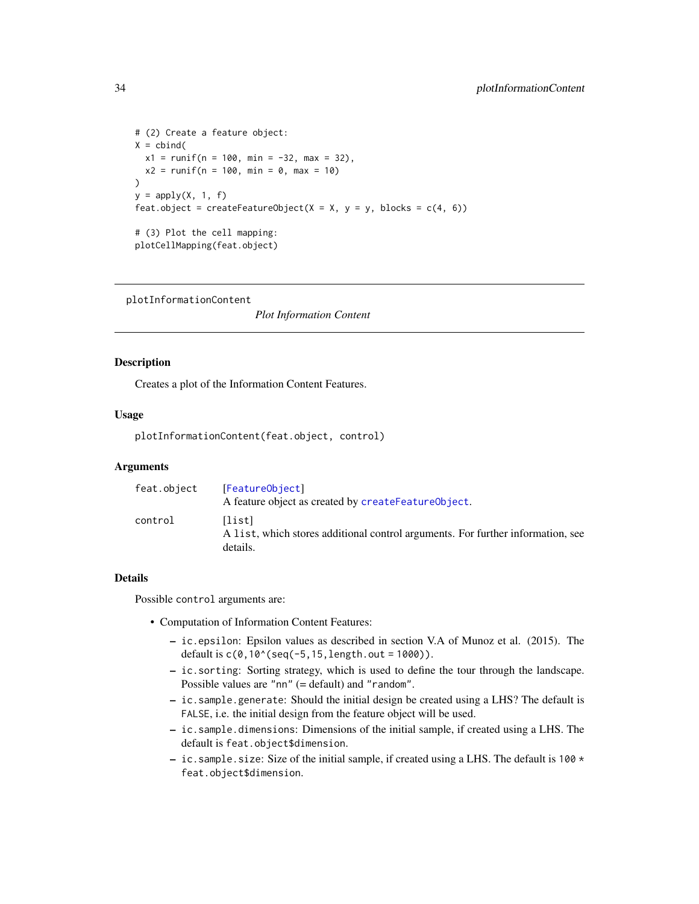```
# (2) Create a feature object:
X = \text{cbind}(x1 = runif(n = 100, min = -32, max = 32),
  x2 = runif(n = 100, min = 0, max = 10))
y = apply(X, 1, f)feat.object = createFeatureObject(X = X, y = y, blocks = c(4, 6))
# (3) Plot the cell mapping:
plotCellMapping(feat.object)
```
plotInformationContent

*Plot Information Content*

#### Description

Creates a plot of the Information Content Features.

#### Usage

plotInformationContent(feat.object, control)

#### Arguments

| feat.object | [FeatureObject]<br>A feature object as created by createFeatureObject.                                |
|-------------|-------------------------------------------------------------------------------------------------------|
| control     | [list]<br>A list, which stores additional control arguments. For further information, see<br>details. |

# Details

Possible control arguments are:

- Computation of Information Content Features:
	- ic.epsilon: Epsilon values as described in section V.A of Munoz et al. (2015). The default is  $c(0,10^{\circ}(\text{seq}(-5,15,\text{length}.\text{out} = 1000)).$
	- ic.sorting: Sorting strategy, which is used to define the tour through the landscape. Possible values are "nn" (= default) and "random".
	- ic.sample.generate: Should the initial design be created using a LHS? The default is FALSE, i.e. the initial design from the feature object will be used.
	- ic.sample.dimensions: Dimensions of the initial sample, if created using a LHS. The default is feat.object\$dimension.
	- ic. sample. size: Size of the initial sample, if created using a LHS. The default is 100  $\star$ feat.object\$dimension.

<span id="page-33-0"></span>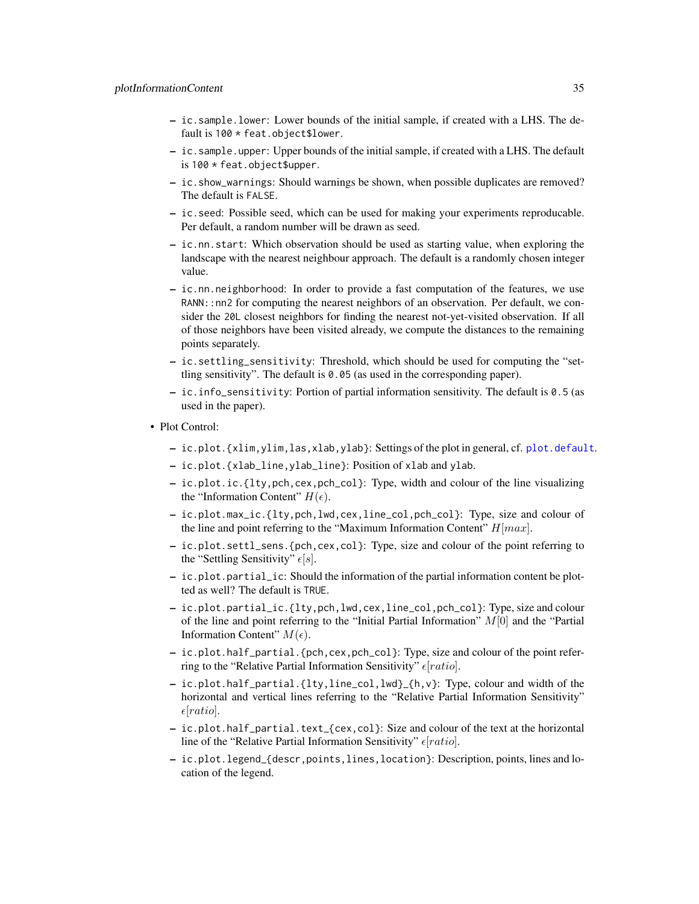- <span id="page-34-0"></span>– ic.sample.lower: Lower bounds of the initial sample, if created with a LHS. The default is 100 \* feat.object\$lower.
- ic.sample.upper: Upper bounds of the initial sample, if created with a LHS. The default is 100 \* feat.object\$upper.
- ic.show\_warnings: Should warnings be shown, when possible duplicates are removed? The default is FALSE.
- ic.seed: Possible seed, which can be used for making your experiments reproducable. Per default, a random number will be drawn as seed.
- ic.nn.start: Which observation should be used as starting value, when exploring the landscape with the nearest neighbour approach. The default is a randomly chosen integer value.
- ic.nn.neighborhood: In order to provide a fast computation of the features, we use RANN::nn2 for computing the nearest neighbors of an observation. Per default, we consider the 20L closest neighbors for finding the nearest not-yet-visited observation. If all of those neighbors have been visited already, we compute the distances to the remaining points separately.
- ic.settling\_sensitivity: Threshold, which should be used for computing the "settling sensitivity". The default is 0.05 (as used in the corresponding paper).
- ic.info\_sensitivity: Portion of partial information sensitivity. The default is 0.5 (as used in the paper).
- Plot Control:
	- ic.plot.{xlim,ylim,las,xlab,ylab}: Settings of the plot in general, cf. [plot.default](#page-0-0).
	- ic.plot.{xlab\_line,ylab\_line}: Position of xlab and ylab.
	- ic.plot.ic.{lty,pch,cex,pch\_col}: Type, width and colour of the line visualizing the "Information Content"  $H(\epsilon)$ .
	- ic.plot.max\_ic.{lty,pch,lwd,cex,line\_col,pch\_col}: Type, size and colour of the line and point referring to the "Maximum Information Content"  $H[\max]$ .
	- ic.plot.settl\_sens.{pch,cex,col}: Type, size and colour of the point referring to the "Settling Sensitivity"  $\epsilon[s]$ .
	- ic.plot.partial\_ic: Should the information of the partial information content be plotted as well? The default is TRUE.
	- ic.plot.partial\_ic.{lty,pch,lwd,cex,line\_col,pch\_col}: Type, size and colour of the line and point referring to the "Initial Partial Information"  $M[0]$  and the "Partial Information Content"  $M(\epsilon)$ .
	- ic.plot.half\_partial.{pch,cex,pch\_col}: Type, size and colour of the point referring to the "Relative Partial Information Sensitivity"  $\epsilon$ [ratio].
	- ic.plot.half\_partial.{lty,line\_col,lwd}\_{h,v}: Type, colour and width of the horizontal and vertical lines referring to the "Relative Partial Information Sensitivity"  $\epsilon$ [ratio].
	- ic.plot.half\_partial.text\_{cex,col}: Size and colour of the text at the horizontal line of the "Relative Partial Information Sensitivity"  $\epsilon$ [ratio].
	- ic.plot.legend\_{descr,points,lines,location}: Description, points, lines and location of the legend.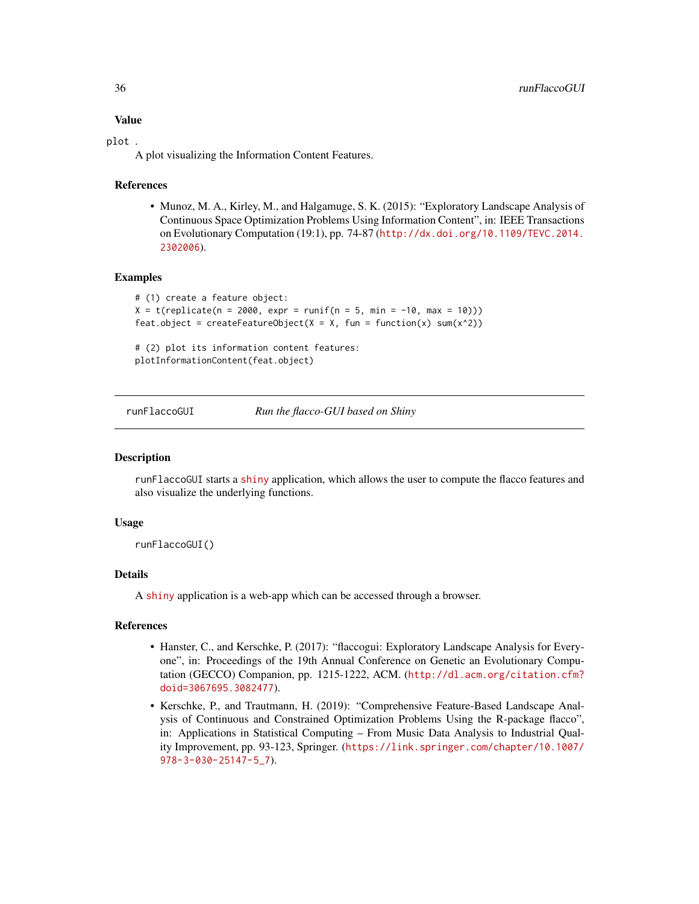# Value

#### plot .

A plot visualizing the Information Content Features.

#### References

• Munoz, M. A., Kirley, M., and Halgamuge, S. K. (2015): "Exploratory Landscape Analysis of Continuous Space Optimization Problems Using Information Content", in: IEEE Transactions on Evolutionary Computation (19:1), pp. 74-87 ([http://dx.doi.org/10.1109/TEVC.2014.](http://dx.doi.org/10.1109/TEVC.2014.2302006) [2302006](http://dx.doi.org/10.1109/TEVC.2014.2302006)).

#### Examples

```
# (1) create a feature object:
X = t(replicate(n = 2000, expr = runif(n = 5, min = -10, max = 10)))feat.object = createFeatureObject(X = X, fun = function(x) sum(x^2))
```
# (2) plot its information content features: plotInformationContent(feat.object)

runFlaccoGUI *Run the flacco-GUI based on Shiny*

#### Description

runFlaccoGUI starts a [shiny](https://CRAN.R-project.org/package=shiny) application, which allows the user to compute the flacco features and also visualize the underlying functions.

#### Usage

runFlaccoGUI()

#### Details

A [shiny](https://CRAN.R-project.org/package=shiny) application is a web-app which can be accessed through a browser.

#### References

- Hanster, C., and Kerschke, P. (2017): "flaccogui: Exploratory Landscape Analysis for Everyone", in: Proceedings of the 19th Annual Conference on Genetic an Evolutionary Computation (GECCO) Companion, pp. 1215-1222, ACM. ([http://dl.acm.org/citation.cfm?](http://dl.acm.org/citation.cfm?doid=3067695.3082477) [doid=3067695.3082477](http://dl.acm.org/citation.cfm?doid=3067695.3082477)).
- Kerschke, P., and Trautmann, H. (2019): "Comprehensive Feature-Based Landscape Analysis of Continuous and Constrained Optimization Problems Using the R-package flacco", in: Applications in Statistical Computing – From Music Data Analysis to Industrial Quality Improvement, pp. 93-123, Springer. ([https://link.springer.com/chapter/10.1007/](https://link.springer.com/chapter/10.1007/978-3-030-25147-5_7) [978-3-030-25147-5\\_7](https://link.springer.com/chapter/10.1007/978-3-030-25147-5_7)).

<span id="page-35-0"></span>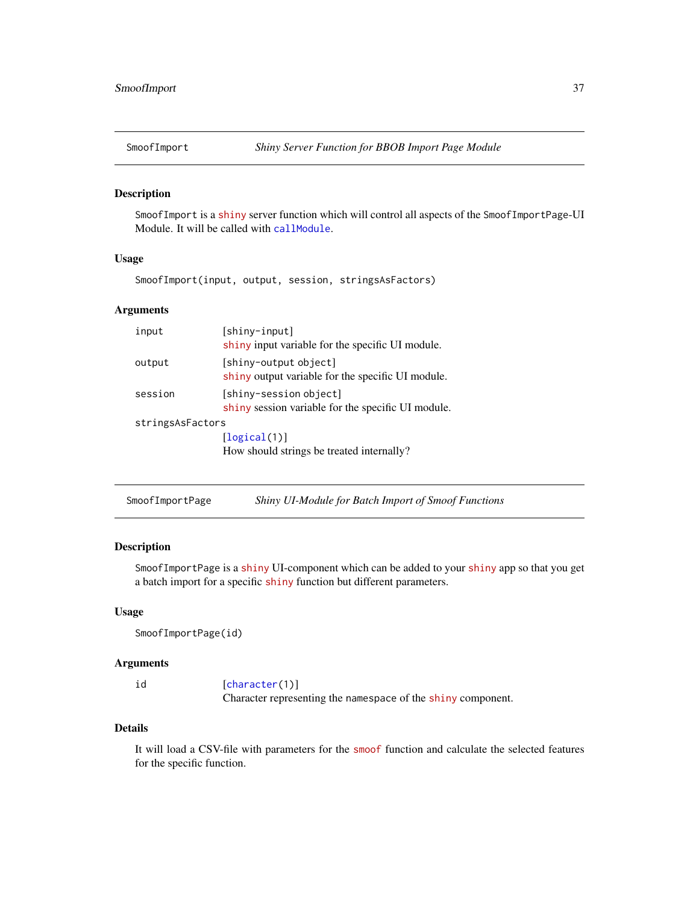<span id="page-36-0"></span>

# Description

SmoofImport is a [shiny](https://CRAN.R-project.org/package=shiny) server function which will control all aspects of the SmoofImportPage-UI Module. It will be called with [callModule](#page-0-0).

# Usage

SmoofImport(input, output, session, stringsAsFactors)

# Arguments

| input            | [shiny-input]<br>shiny input variable for the specific UI module.            |  |
|------------------|------------------------------------------------------------------------------|--|
| output           | [shiny-output object]<br>shiny output variable for the specific UI module.   |  |
| session          | [shiny-session object]<br>shiny session variable for the specific UI module. |  |
| stringsAsFactors |                                                                              |  |
|                  | [logical(1)]<br>How should strings be treated internally?                    |  |

SmoofImportPage *Shiny UI-Module for Batch Import of Smoof Functions*

# Description

SmoofImportPage is a [shiny](https://CRAN.R-project.org/package=shiny) UI-component which can be added to your [shiny](https://CRAN.R-project.org/package=shiny) app so that you get a batch import for a specific [shiny](https://CRAN.R-project.org/package=shiny) function but different parameters.

#### Usage

```
SmoofImportPage(id)
```
#### Arguments

| id | [character(1)]                                               |
|----|--------------------------------------------------------------|
|    | Character representing the namespace of the shiny component. |

# Details

It will load a CSV-file with parameters for the [smoof](https://CRAN.R-project.org/package=smoof) function and calculate the selected features for the specific function.